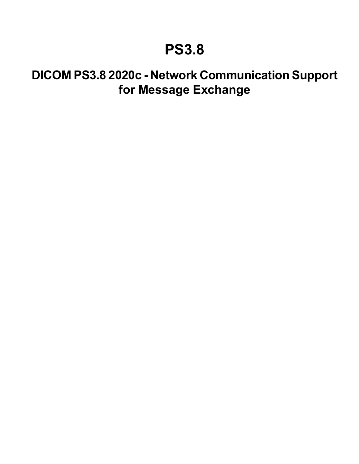## **PS3.8**

## <span id="page-0-0"></span>**DICOM PS3.8 2020c - Network Communication Support for Message Exchange**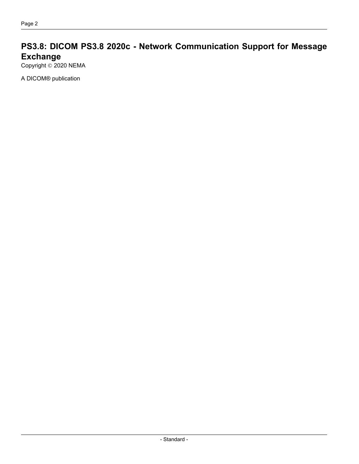## **PS3.8: DICOM PS3.8 2020c - Network Communication Support for Message Exchange**

Copyright © 2020 NEMA

A DICOM® publication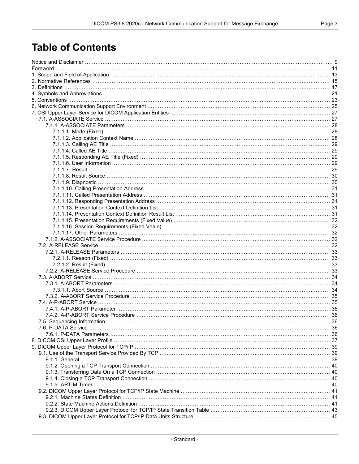## **Table of Contents**

| 7.5. Sequencing Information |  |
|-----------------------------|--|
|                             |  |
|                             |  |
|                             |  |
|                             |  |
|                             |  |
|                             |  |
|                             |  |
|                             |  |
|                             |  |
|                             |  |
|                             |  |
|                             |  |
|                             |  |
|                             |  |
|                             |  |
|                             |  |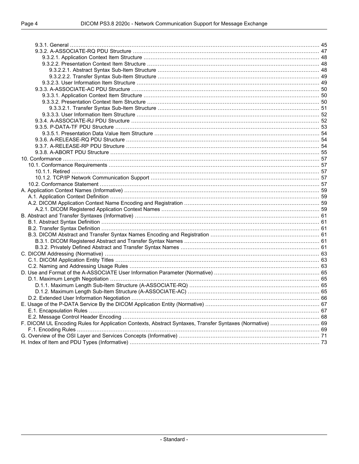| F. DICOM UL Encoding Rules for Application Contexts, Abstract Syntaxes, Transfer Syntaxes (Normative)  69 |  |
|-----------------------------------------------------------------------------------------------------------|--|
|                                                                                                           |  |
|                                                                                                           |  |
|                                                                                                           |  |
|                                                                                                           |  |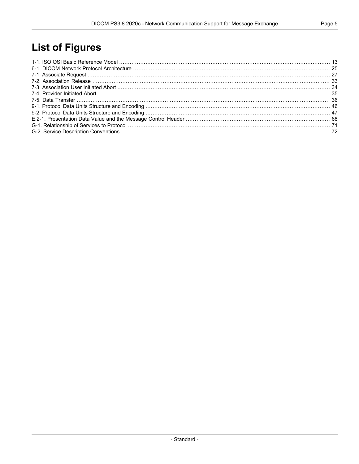## **List of Figures**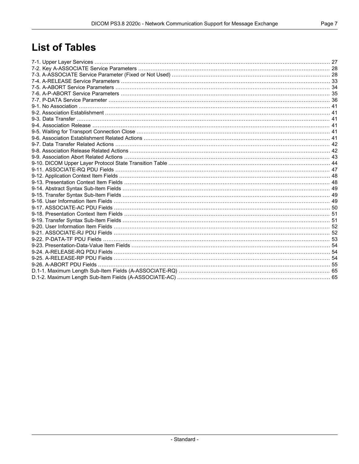## **List of Tables**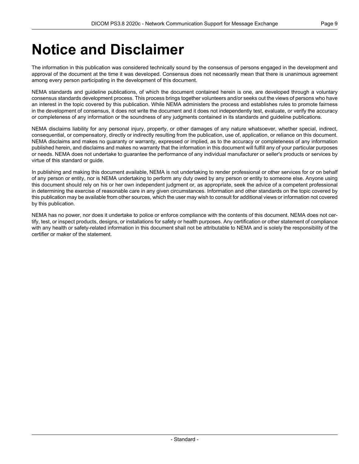## <span id="page-8-0"></span>**Notice and Disclaimer**

The information in this publication was considered technically sound by the consensus of persons engaged in the development and approval of the document at the time it was developed. Consensus does not necessarily mean that there is unanimous agreement among every person participating in the development of this document.

NEMA standards and guideline publications, of which the document contained herein is one, are developed through a voluntary consensus standards development process. This process brings together volunteers and/or seeks out the views of persons who have an interest in the topic covered by this publication. While NEMA administers the process and establishes rules to promote fairness in the development of consensus, it does not write the document and it does not independently test, evaluate, or verify the accuracy or completeness of any information or the soundness of any judgments contained in its standards and guideline publications.

NEMA disclaims liability for any personal injury, property, or other damages of any nature whatsoever, whether special, indirect, consequential, or compensatory, directly or indirectly resulting from the publication, use of, application, or reliance on this document. NEMA disclaims and makes no guaranty or warranty, expressed or implied, as to the accuracy or completeness of any information published herein, and disclaims and makes no warranty that the information in this document will fulfill any of your particular purposes or needs. NEMA does not undertake to guarantee the performance of any individual manufacturer or seller's products or services by virtue of this standard or guide.

In publishing and making this document available, NEMA is not undertaking to render professional or other services for or on behalf of any person or entity, nor is NEMA undertaking to perform any duty owed by any person or entity to someone else. Anyone using this document should rely on his or her own independent judgment or, as appropriate, seek the advice of a competent professional in determining the exercise of reasonable care in any given circumstances. Information and other standards on the topic covered by this publication may be available from other sources, which the user may wish to consult for additional views or information not covered by this publication.

NEMA has no power, nor does it undertake to police or enforce compliance with the contents of this document. NEMA does not cer tify, test, or inspect products, designs, or installations for safety or health purposes. Any certification or other statement of compliance with any health or safety-related information in this document shall not be attributable to NEMA and is solely the responsibility of the certifier or maker of the statement.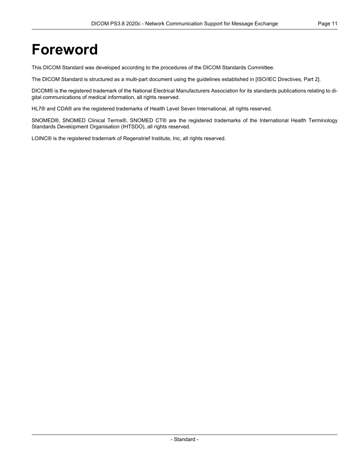## <span id="page-10-0"></span>**Foreword**

This DICOM Standard was developed according to the procedures of the DICOM Standards Committee.

The DICOM Standard is structured as a multi-part document using the guidelines established in [ISO/IEC [Directives,](#page-14-1) Part 2].

DICOM® is the registered trademark of the National Electrical Manufacturers Association for its standards publications relating to di gital communications of medical information, all rights reserved.

HL7® and CDA® are the registered trademarks of Health Level Seven International, all rights reserved.

SNOMED®, SNOMED Clinical Terms®, SNOMED CT® are the registered trademarks of the International Health Terminology Standards Development Organisation (IHTSDO), all rights reserved.

LOINC® is the registered trademark of Regenstrief Institute, Inc, all rights reserved.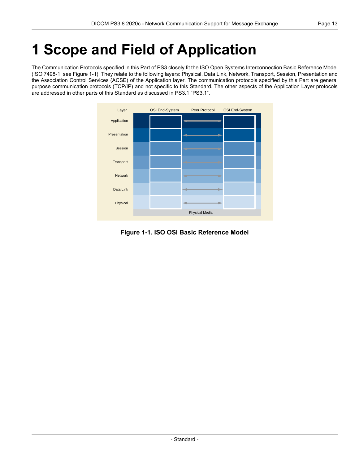# <span id="page-12-0"></span>**1 Scope and Field of Application**

<span id="page-12-1"></span>The Communication Protocols specified in this Part of PS3 closely fit the ISO Open Systems Interconnection Basic Reference Model (ISO 7498-1, see [Figure](#page-12-1) 1-1). They relate to the following layers: Physical, Data Link, Network, Transport, Session, Presentation and the Association Control Services (ACSE) of the Application layer. The communication protocols specified by this Part are general purpose communication protocols (TCP/IP) and not specific to this Standard. The other aspects of the Application Layer protocols are addressed in other parts of this Standard as discussed in PS3.1 ["PS3.1".](part01.pdf#PS3.1)



**Figure 1-1. ISO OSI Basic Reference Model**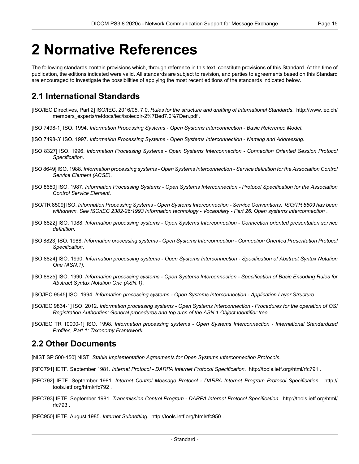## <span id="page-14-0"></span>**2 Normative References**

The following standards contain provisions which, through reference in this text, constitute provisions of this Standard. At the time of publication, the editions indicated were valid. All standards are subject to revision, and parties to agreements based on this Standard are encouraged to investigate the possibilities of applying the most recent editions of the standards indicated below.

## <span id="page-14-1"></span>**2.1 International Standards**

- <span id="page-14-2"></span>[ISO/IEC Directives, Part 2] ISO/IEC. 2016/05. 7.0. *Rules for the structure and drafting of International Standards*. [http://www.iec.ch/](http://www.iec.ch/members_experts/refdocs/iec/isoiecdir-2%7Bed7.0%7Den.pdf) [members\\_experts/refdocs/iec/isoiecdir-2%7Bed7.0%7Den.pdf](http://www.iec.ch/members_experts/refdocs/iec/isoiecdir-2%7Bed7.0%7Den.pdf) .
- <span id="page-14-3"></span>[ISO 7498-1] ISO. 1994. *Information Processing Systems - Open Systems Interconnection - Basic Reference Model*.
- [ISO 7498-3] ISO. 1997. *Information Processing Systems - Open Systems Interconnection - Naming and Addressing*.
- <span id="page-14-6"></span>[ISO 8327] ISO. 1996. *Information Processing Systems - Open Systems Interconnection - Connection Oriented Session Protocol Specification*.
- [ISO 8649] ISO. 1988. Information processing systems Open Systems Interconnection Service definition for the Association Control *Service Element (ACSE)*.
- <span id="page-14-4"></span>[ISO 8650] ISO. 1987. *Information Processing Systems - Open Systems Interconnection - Protocol Specification for the Association Control Service Element*.
- <span id="page-14-5"></span>[ISO/TR 8509] ISO. *Information Processing Systems - Open Systems Interconnection - Service Conventions*. *ISO/TR 8509 has been withdrawn. See ISO/IEC 2382-26:1993 Information technology - Vocabulary - Part 26: Open systems interconnection* .
- [ISO 8822] ISO. 1988. *Information processing systems - Open Systems Interconnection - Connection oriented presentation service definition*.
- [ISO 8823] ISO. 1988. *Information processing systems - Open Systems Interconnection - Connection Oriented Presentation Protocol Specification*.
- [ISO 8824] ISO. 1990. *Information processing systems - Open Systems Interconnection - Specification of Abstract Syntax Notation One (ASN.1)*.
- [ISO 8825] ISO. 1990. Information processing systems Open Systems Interconnection Specification of Basic Encoding Rules for *Abstract Syntax Notation One (ASN.1)*.
- [ISO/IEC 9545] ISO. 1994. *Information processing systems - Open Systems Interconnection - Application Layer Structure*.
- [ISO/IEC 9834-1] ISO. 2012. Information processing systems Open Systems Interconnection Procedures for the operation of OSI *Registration Authorities: General procedures and top arcs of the ASN.1 Object Identifier tree*.
- [ISO/IEC TR 10000-1] ISO. 1998. *Information processing systems - Open Systems Interconnection - International Standardized Profiles, Part 1: Taxonomy Framework*.

#### **2.2 Other Documents**

- [NIST SP 500-150] NIST. *Stable Implementation Agreements for Open Systems Interconnection Protocols*.
- [RFC791] IETF. September 1981. *Internet Protocol - DARPA Internet Protocol Specification*. <http://tools.ietf.org/html/rfc791> .
- [RFC792] IETF. September 1981. *Internet Control Message Protocol - DARPA Internet Program Protocol Specification*. [http://](http://tools.ietf.org/html/rfc792) [tools.ietf.org/html/rfc792](http://tools.ietf.org/html/rfc792) .
- [RFC793] IETF. September 1981. *Transmission Control Program - DARPA Internet Protocol Specification*. [http://tools.ietf.org/html/](http://tools.ietf.org/html/rfc793) [rfc793](http://tools.ietf.org/html/rfc793) .
- [RFC950] IETF. August 1985. *Internet Subnetting*. <http://tools.ietf.org/html/rfc950> .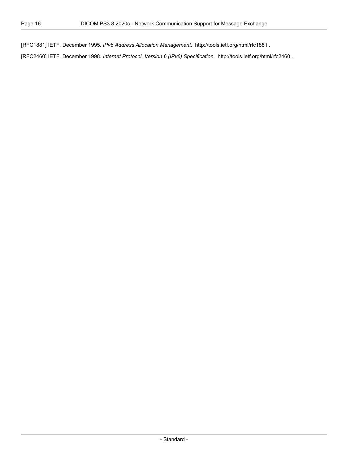[RFC1881] IETF. December 1995. *IPv6 Address Allocation Management*. <http://tools.ietf.org/html/rfc1881> .

[RFC2460] IETF. December 1998. *Internet Protocol, Version 6 (IPv6) Specification*. <http://tools.ietf.org/html/rfc2460> .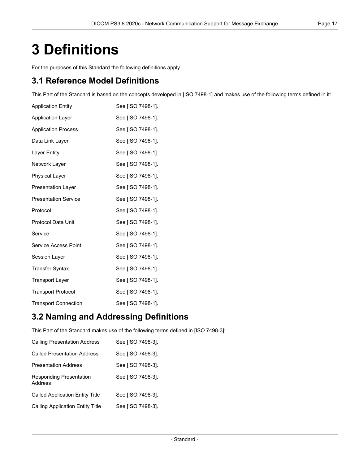## <span id="page-16-0"></span>**3 Definitions**

For the purposes of this Standard the following definitions apply.

## **3.1 Reference Model Definitions**

This Part of the Standard is based on the concepts developed in [ISO [7498-1\]](#page-14-2) and makes use of the following terms defined in it:

| <b>Application Entity</b>   | See [ISO 7498-1]. |
|-----------------------------|-------------------|
| <b>Application Layer</b>    | See [ISO 7498-1]. |
| <b>Application Process</b>  | See [ISO 7498-1]. |
| Data Link Layer             | See [ISO 7498-1]. |
| Layer Entity                | See [ISO 7498-1]. |
| Network Layer               | See [ISO 7498-1]. |
| <b>Physical Layer</b>       | See [ISO 7498-1]. |
| <b>Presentation Layer</b>   | See [ISO 7498-1]. |
| <b>Presentation Service</b> | See [ISO 7498-1]. |
| Protocol                    | See [ISO 7498-1]. |
| <b>Protocol Data Unit</b>   | See [ISO 7498-1]. |
| Service                     | See [ISO 7498-1]. |
| Service Access Point        | See [ISO 7498-1]. |
| Session Layer               | See [ISO 7498-1]. |
| <b>Transfer Syntax</b>      | See [ISO 7498-1]. |
| <b>Transport Layer</b>      | See [ISO 7498-1]. |
| <b>Transport Protocol</b>   | See [ISO 7498-1]. |
| <b>Transport Connection</b> | See [ISO 7498-1]. |

## **3.2 Naming and Addressing Definitions**

This Part of the Standard makes use of the following terms defined in [ISO [7498-3\]](#page-14-3):

| <b>Calling Presentation Address</b>       | See [ISO 7498-3]. |
|-------------------------------------------|-------------------|
| <b>Called Presentation Address</b>        | See [ISO 7498-3]. |
| Presentation Address                      | See [ISO 7498-3]. |
| <b>Responding Presentation</b><br>Address | See [ISO 7498-3]. |
| <b>Called Application Entity Title</b>    | See [ISO 7498-3]. |
| <b>Calling Application Entity Title</b>   | See [ISO 7498-3]. |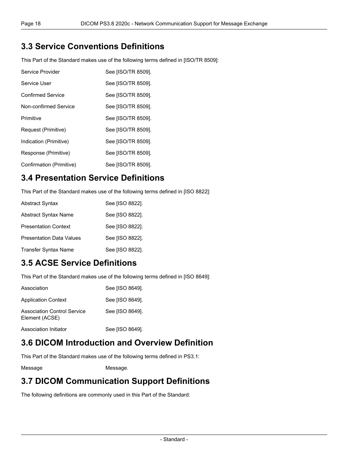### **3.3 Service Conventions Definitions**

This Part of the Standard makes use of the following terms defined in [\[ISO/TR](#page-14-4) 8509]:

| Service Provider         | See [ISO/TR 8509]. |
|--------------------------|--------------------|
| Service User             | See [ISO/TR 8509]. |
| <b>Confirmed Service</b> | See [ISO/TR 8509]. |
| Non-confirmed Service    | See [ISO/TR 8509]. |
| Primitive                | See [ISO/TR 8509]. |
| Request (Primitive)      | See [ISO/TR 8509]. |
| Indication (Primitive)   | See [ISO/TR 8509]. |
| Response (Primitive)     | See [ISO/TR 8509]. |
| Confirmation (Primitive) | See [ISO/TR 8509]. |

## **3.4 Presentation Service Definitions**

This Part of the Standard makes use of the following terms defined in [ISO [8822\]](#page-14-5):

| Abstract Syntax                 | See [ISO 8822]. |
|---------------------------------|-----------------|
| <b>Abstract Syntax Name</b>     | See [ISO 8822]. |
| <b>Presentation Context</b>     | See [ISO 8822]. |
| <b>Presentation Data Values</b> | See [ISO 8822]. |
| <b>Transfer Syntax Name</b>     | See [ISO 8822]. |

### **3.5 ACSE Service Definitions**

This Part of the Standard makes use of the following terms defined in [ISO [8649\]](#page-14-6):

| Association                                          | See [ISO 8649]. |
|------------------------------------------------------|-----------------|
| <b>Application Context</b>                           | See [ISO 8649]. |
| <b>Association Control Service</b><br>Element (ACSE) | See [ISO 8649]. |
| Association Initiator                                | See [ISO 8649]. |

### **3.6 DICOM Introduction and Overview Definition**

This Part of the Standard makes use of the following terms defined in [PS3.1:](part01.pdf#PS3.1)

Message [Message.](part01.pdf#glossentry_Message)

#### **3.7 DICOM Communication Support Definitions**

The following definitions are commonly used in this Part of the Standard: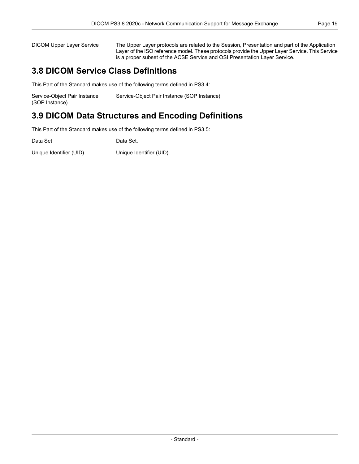DICOM Upper Layer Service The Upper Layer protocols are related to the Session, Presentation and part of the Application Layer of the ISO reference model. These protocols provide the Upper Layer Service. This Service is a proper subset of the ACSE Service and OSI Presentation Layer Service.

### **3.8 DICOM Service Class Definitions**

This Part of the Standard makes use of the following terms defined in [PS3.4:](part04.pdf#PS3.4)

| Service-Object Pair Instance | Service-Object Pair Instance (SOP Instance). |
|------------------------------|----------------------------------------------|
| (SOP Instance)               |                                              |

## **3.9 DICOM Data Structures and Encoding Definitions**

This Part of the Standard makes use of the following terms defined in [PS3.5:](part05.pdf#PS3.5)

| Data Set                | Data Set.                |
|-------------------------|--------------------------|
| Unique Identifier (UID) | Unique Identifier (UID). |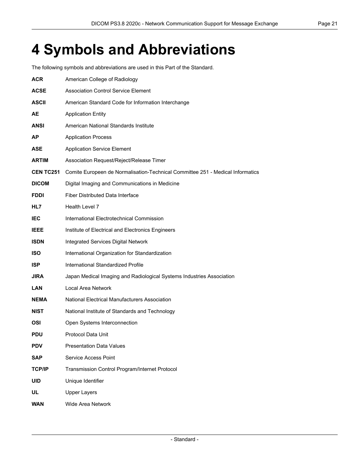# <span id="page-20-0"></span>**4 Symbols and Abbreviations**

The following symbols and abbreviations are used in this Part of the Standard.

| <b>ACR</b>      | American College of Radiology                                                  |
|-----------------|--------------------------------------------------------------------------------|
| ACSE            | <b>Association Control Service Element</b>                                     |
| <b>ASCII</b>    | American Standard Code for Information Interchange                             |
| AE              | <b>Application Entity</b>                                                      |
| ANSI            | American National Standards Institute                                          |
| AP              | <b>Application Process</b>                                                     |
| ASE             | <b>Application Service Element</b>                                             |
| ARTIM           | Association Request/Reject/Release Timer                                       |
| <b>CENTC251</b> | Comite Europeen de Normalisation-Technical Committee 251 - Medical Informatics |
| <b>DICOM</b>    | Digital Imaging and Communications in Medicine                                 |
| <b>FDDI</b>     | <b>Fiber Distributed Data Interface</b>                                        |
| HL7             | Health Level 7                                                                 |
| <b>IEC</b>      | International Electrotechnical Commission                                      |
| <b>IEEE</b>     | Institute of Electrical and Electronics Engineers                              |
| <b>ISDN</b>     | <b>Integrated Services Digital Network</b>                                     |
| <b>ISO</b>      | International Organization for Standardization                                 |
| <b>ISP</b>      | International Standardized Profile                                             |
| JIRA            | Japan Medical Imaging and Radiological Systems Industries Association          |
| LAN             | <b>Local Area Network</b>                                                      |
| NEMA            | National Electrical Manufacturers Association                                  |
| NIST            | National Institute of Standards and Technology                                 |
| OSI             | Open Systems Interconnection                                                   |
| PDU             | Protocol Data Unit                                                             |
| <b>PDV</b>      | <b>Presentation Data Values</b>                                                |
| <b>SAP</b>      | Service Access Point                                                           |
| <b>TCP/IP</b>   | Transmission Control Program/Internet Protocol                                 |
| <b>UID</b>      | Unique Identifier                                                              |
| <b>UL</b>       | <b>Upper Layers</b>                                                            |
| <b>WAN</b>      | <b>Wide Area Network</b>                                                       |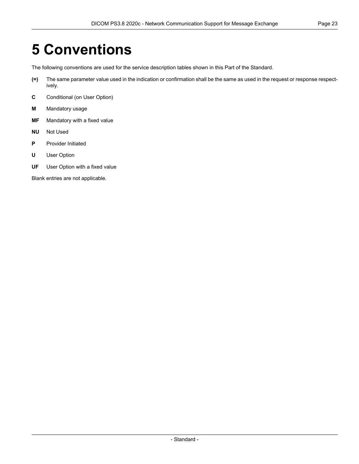# <span id="page-22-0"></span>**5 Conventions**

The following conventions are used for the service description tables shown in this Part of the Standard.

- **(=)** The same parameter value used in the indication or confirmation shall be the same as used in the request or response respect ively.
- **C** Conditional (on User Option)
- **M** Mandatory usage
- **MF** Mandatory with a fixed value
- **NU** Not Used
- **P** Provider Initiated
- **U** User Option
- **UF** User Option with a fixed value

Blank entries are not applicable.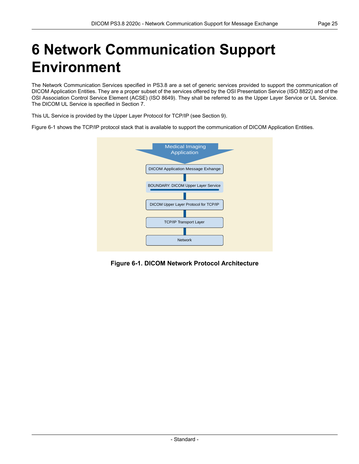# <span id="page-24-0"></span>**6 Network Communication Support Environment**

The Network Communication Services specified in [PS3.8](#page-0-0) are a set of generic services provided to support the communication of DICOM Application Entities. They are a proper subset of the services offered by the OSI Presentation Service (ISO 8822) and of the OSI Association Control Service Element (ACSE) (ISO 8649). They shall be referred to as the Upper Layer Service or UL Service. The DICOM UL Service is specified in Section 7.

This UL Service is provided by the Upper Layer Protocol for TCP/IP (see Section 9).

<span id="page-24-1"></span>[Figure](#page-24-1) 6-1 shows the TCP/IP protocol stack that is available to support the communication of DICOM Application Entities.



**Figure 6-1. DICOM Network Protocol Architecture**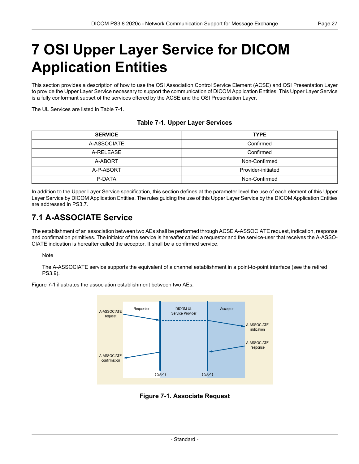## <span id="page-26-0"></span>**7 OSI Upper Layer Service for DICOM Application Entities**

This section provides a description of how to use the OSI Association Control Service Element (ACSE) and OSI Presentation Layer to provide the Upper Layer Service necessary to support the communication of DICOM Application Entities. This Upper Layer Service is a fully conformant subset of the services offered by the ACSE and the OSI Presentation Layer.

<span id="page-26-3"></span>The UL Services are listed in [Table](#page-26-3) 7-1.

#### **Table 7-1. Upper Layer Services**

| <b>SERVICE</b> | <b>TYPE</b>        |  |
|----------------|--------------------|--|
| A-ASSOCIATE    | Confirmed          |  |
| A-RELEASE      | Confirmed          |  |
| A-ABORT        | Non-Confirmed      |  |
| A-P-ABORT      | Provider-initiated |  |
| P-DATA         | Non-Confirmed      |  |

<span id="page-26-1"></span>In addition to the Upper Layer Service specification, this section defines at the parameter level the use of each element of this Upper Layer Service by DICOM Application Entities. The rules guiding the use of this Upper Layer Service by the DICOM Application Entities are addressed in [PS3.7.](part07.pdf#PS3.7)

### **7.1 A-ASSOCIATE Service**

The establishment of an association between two AEs shall be performed through ACSE A-ASSOCIATE request, indication, response and confirmation primitives. The initiator of the service is hereafter called a requestor and the service-user that receives the A-ASSO- CIATE indication is hereafter called the acceptor. It shall be a confirmed service.

#### Note

<span id="page-26-2"></span>The A-ASSOCIATE service supports the equivalent of a channel establishment in a point-to-point interface (see the retired PS3.9).

[Figure](#page-26-2) 7-1 illustrates the association establishment between two AEs.



**Figure 7-1. Associate Request**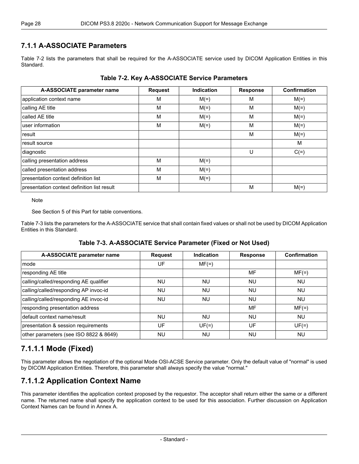#### <span id="page-27-0"></span>**7.1.1 A-ASSOCIATE Parameters**

<span id="page-27-3"></span>[Table](#page-27-3) 7-2 lists the parameters that shall be required for the A-ASSOCIATE service used by DICOM Application Entities in this Standard.

| A-ASSOCIATE parameter name                  | <b>Request</b> | <b>Indication</b> | <b>Response</b> | Confirmation |
|---------------------------------------------|----------------|-------------------|-----------------|--------------|
| application context name                    | M              | $M(=)$            | м               | $M(=)$       |
| calling AE title                            | M              | $M(=)$            | M               | $M(=)$       |
| called AE title                             | M              | $M(=)$            | M               | $M(=)$       |
| user information                            | M              | $M(=)$            | M               | $M(=)$       |
| result                                      |                |                   | M               | $M(=)$       |
| result source                               |                |                   |                 | M            |
| diagnostic                                  |                |                   | U               | $C(=)$       |
| calling presentation address                | M              | $M(=)$            |                 |              |
| called presentation address                 | M              | $M(=)$            |                 |              |
| presentation context definition list        | M              | $M(=)$            |                 |              |
| presentation context definition list result |                |                   | M               | $M(=)$       |

#### **Table 7-2. Key A-ASSOCIATE Service Parameters**

**Note** 

See Section 5 of this Part for table conventions.

<span id="page-27-4"></span>[Table](#page-27-4) 7-3 lists the parameters for the A-ASSOCIATE service that shall contain fixed values or shall not be used by DICOM Application Entities in this Standard.

#### **Table 7-3. A-ASSOCIATE Service Parameter (Fixed or Not Used)**

| A-ASSOCIATE parameter name             | <b>Request</b> | Indication | <b>Response</b> | Confirmation |
|----------------------------------------|----------------|------------|-----------------|--------------|
| mode                                   | UF             | $MF(=)$    |                 |              |
| responding AE title                    |                |            | MF              | $MF(=)$      |
| calling/called/responding AE qualifier | NU             | <b>NU</b>  | NU              | <b>NU</b>    |
| calling/called/responding AP invoc-id  | <b>NU</b>      | <b>NU</b>  | <b>NU</b>       | <b>NU</b>    |
| calling/called/responding AE invoc-id  | NU.            | <b>NU</b>  | <b>NU</b>       | <b>NU</b>    |
| responding presentation address        |                |            | MF              | $MF(=)$      |
| default context name/result            | NU             | <b>NU</b>  | <b>NU</b>       | <b>NU</b>    |
| presentation & session requirements    | UF             | $UF(=)$    | UF              | $UF(=)$      |
| other parameters (see ISO 8822 & 8649) | <b>NU</b>      | <b>NU</b>  | <b>NU</b>       | <b>NU</b>    |

#### <span id="page-27-2"></span><span id="page-27-1"></span>**7.1.1.1 Mode (Fixed)**

This parameter allows the negotiation of the optional Mode OSI-ACSE Service parameter. Only the default value of "normal" is used by DICOM Application Entities. Therefore, this parameter shall always specify the value "normal."

#### **7.1.1.2 Application Context Name**

This parameter identifies the application context proposed by the requestor. The acceptor shall return either the same or a different name. The returned name shall specify the application context to be used for this association. Further discussion on Application Context Names can be found in [Annex](#page-58-0) A.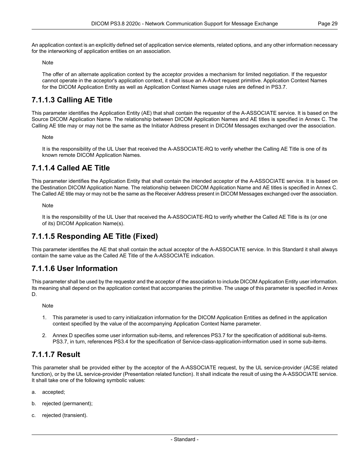An application context is an explicitly defined set of application service elements, related options, and any other information necessary for the interworking of application entities on an association.

**Note** 

The offer of an alternate application context by the acceptor provides a mechanism for limited negotiation. If the requestor cannot operate in the acceptor's application context, it shall issue an A-Abort request primitive. Application Context Names for the DICOM Application Entity as well as Application Context Names usage rules are defined in [PS3.7](part07.pdf#PS3.7).

### <span id="page-28-0"></span>**7.1.1.3 Calling AE Title**

This parameter identifies the Application Entity (AE) that shall contain the requestor of the A-ASSOCIATE service. It is based on the Source DICOM Application Name. The relationship between DICOM Application Names and AE titles is specified in [Annex](#page-62-0) C. The Calling AE title may or may not be the same as the Initiator Address present in DICOM Messages exchanged over the association.

Note

<span id="page-28-1"></span>It is the responsibility of the UL User that received the A-ASSOCIATE-RQ to verify whether the Calling AE Title is one of its known remote DICOM Application Names.

#### **7.1.1.4 Called AE Title**

This parameter identifies the Application Entity that shall contain the intended acceptor of the A-ASSOCIATE service. It is based on the Destination DICOM Application Name. The relationship between DICOM Application Name and AE titles is specified in [Annex](#page-62-0) C. The Called AE title may or may not be the same as the Receiver Address present in DICOM Messages exchanged over the association.

<span id="page-28-2"></span>**Note** 

It is the responsibility of the UL User that received the A-ASSOCIATE-RQ to verify whether the Called AE Title is its (or one of its) DICOM Application Name(s).

#### <span id="page-28-3"></span>**7.1.1.5 Responding AE Title (Fixed)**

This parameter identifies the AE that shall contain the actual acceptor of the A-ASSOCIATE service. In this Standard it shall always contain the same value as the Called AE Title of the A-ASSOCIATE indication.

#### **7.1.1.6 User Information**

This parameter shall be used by the requestor and the acceptor of the association to include DICOM Application Entity user information. Its meaning shall depend on the application context that accompanies the primitive. The usage of this parameter is specified in [Annex](#page-64-0) [D](#page-64-0).

**Note** 

- <span id="page-28-4"></span>1. This parameter is used to carry initialization information for the DICOM Application Entities as defined in the application context specified by the value of the accompanying Application Context Name parameter.
- 2. [Annex](#page-64-0) D specifies some user information sub-items, and references [PS3.7](part07.pdf#PS3.7) for the specification of additional sub-items. [PS3.7](part07.pdf#PS3.7), in turn, references [PS3.4](part04.pdf#PS3.4) for the specification of Service-class-application-information used in some sub-items.

#### **7.1.1.7 Result**

This parameter shall be provided either by the acceptor of the A-ASSOCIATE request, by the UL service-provider (ACSE related function), or by the UL service-provider (Presentation related function). It shall indicate the result of using the A-ASSOCIATE service. It shall take one of the following symbolic values:

- a. accepted;
- b. rejected (permanent);
- c. rejected (transient).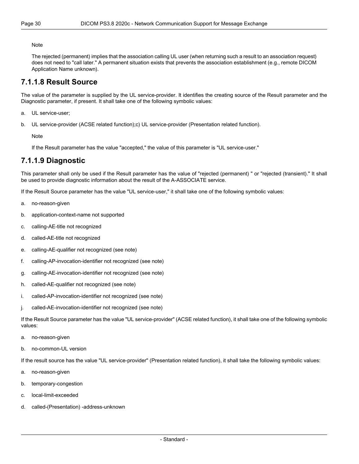The rejected (permanent) implies that the association calling UL user (when returning such a result to an association request) does not need to "call later." A permanent situation exists that prevents the association establishment (e.g., remote DICOM Application Name unknown).

#### <span id="page-29-0"></span>**7.1.1.8 Result Source**

The value of the parameter is supplied by the UL service-provider. It identifies the creating source of the Result parameter and the Diagnostic parameter, if present. It shall take one of the following symbolic values:

- a. UL service-user;
- b. UL service-provider (ACSE related function);c) UL service-provider (Presentation related function).

<span id="page-29-1"></span>Note

If the Result parameter has the value "accepted," the value of this parameter is "UL service-user."

#### **7.1.1.9 Diagnostic**

This parameter shall only be used if the Result parameter has the value of "rejected (permanent) " or "rejected (transient)." It shall be used to provide diagnostic information about the result of the A-ASSOCIATE service.

If the Result Source parameter has the value "UL service-user," it shall take one of the following symbolic values:

- a. no-reason-given
- b. application-context-name not supported
- c. calling-AE-title not recognized
- d. called-AE-title not recognized
- e. calling-AE-qualifier not recognized (see note)
- f. calling-AP-invocation-identifier not recognized (see note)
- g. calling-AE-invocation-identifier not recognized (see note)
- h. called-AE-qualifier not recognized (see note)
- i. called-AP-invocation-identifier not recognized (see note)
- j. called-AE-invocation-identifier not recognized (see note)

If the Result Source parameter has the value "UL service-provider" (ACSE related function), it shall take one of the following symbolic values:

- a. no-reason-given
- b. no-common-UL version

If the result source has the value "UL service-provider" (Presentation related function), it shall take the following symbolic values:

- a. no-reason-given
- b. temporary-congestion
- c. local-limit-exceeded
- d. called-(Presentation) -address-unknown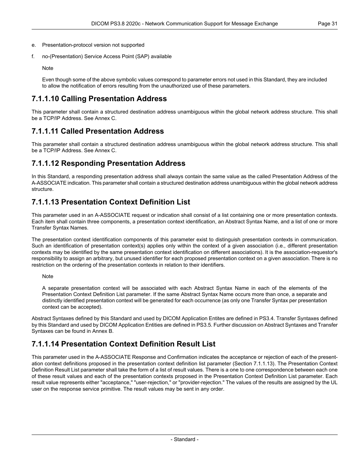- e. Presentation-protocol version not supported
- f. no-(Presentation) Service Access Point (SAP) available

<span id="page-30-0"></span>Even though some of the above symbolic values correspond to parameter errors not used in this Standard, they are included to allow the notification of errors resulting from the unauthorized use of these parameters.

#### **7.1.1.10 Calling Presentation Address**

<span id="page-30-1"></span>This parameter shall contain a structured destination address unambiguous within the global network address structure. This shall be a TCP/IP Address. See [Annex](#page-62-0) C.

#### **7.1.1.11 Called Presentation Address**

<span id="page-30-2"></span>This parameter shall contain a structured destination address unambiguous within the global network address structure. This shall be a TCP/IP Address. See [Annex](#page-62-0) C.

#### **7.1.1.12 Responding Presentation Address**

<span id="page-30-3"></span>In this Standard, a responding presentation address shall always contain the same value as the called Presentation Address of the A-ASSOCIATE indication. This parameter shall contain a structured destination address unambiguous within the global network address structure.

#### **7.1.1.13 Presentation Context Definition List**

This parameter used in an A-ASSOCIATE request or indication shall consist of a list containing one or more presentation contexts. Each item shall contain three components, a presentation context identification, an Abstract Syntax Name, and a list of one or more Transfer Syntax Names.

The presentation context identification components of this parameter exist to distinguish presentation contexts in communication. Such an identification of presentation context(s) applies only within the context of a given association (i.e., different presentation contexts may be identified by the same presentation context identification on different associations). It is the association-requestor's responsibility to assign an arbitrary, but unused identifier for each proposed presentation context on a given association. There is no restriction on the ordering of the presentation contexts in relation to their identifiers.

Note

A separate presentation context will be associated with each Abstract Syntax Name in each of the elements of the Presentation Context Definition List parameter. If the same Abstract Syntax Name occurs more than once, a separate and distinctly identified presentation context will be generated for each occurrence (as only one Transfer Syntax per presentation context can be accepted).

<span id="page-30-4"></span>Abstract Syntaxes defined by this Standard and used by DICOM Application Entites are defined in [PS3.4.](part04.pdf#PS3.4) Transfer Syntaxes defined by this Standard and used by DICOM Application Entities are defined in [PS3.5.](part05.pdf#PS3.5) Further discussion on Abstract Syntaxes and Transfer Syntaxes can be found in [Annex](#page-60-0) B.

#### **7.1.1.14 Presentation Context Definition Result List**

This parameter used in the A-ASSOCIATE Response and Confirmation indicates the acceptance or rejection of each of the present ation context definitions proposed in the presentation context definition list parameter (Section [7.1.1.13](#page-30-3)). The Presentation Context Definition Result List parameter shall take the form of a list of result values. There is a one to one correspondence between each one of these result values and each of the presentation contexts proposed in the Presentation Context Definition List parameter. Each result value represents either "acceptance," "user-rejection," or "provider-rejection." The values of the results are assigned by the UL user on the response service primitive. The result values may be sent in any order.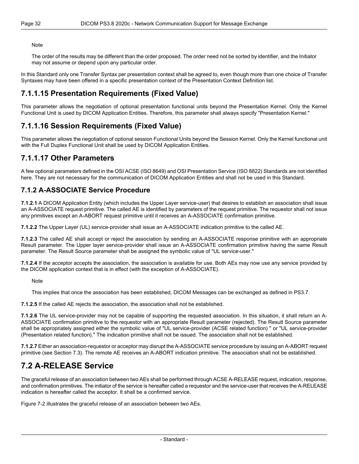The order of the results may be different than the order proposed. The order need not be sorted by identifier, and the Initiator may not assume or depend upon any particular order.

<span id="page-31-0"></span>In this Standard only one Transfer Syntax per presentation context shall be agreed to, even though more than one choice of Transfer Syntaxes may have been offered in a specific presentation context of the Presentation Context Definition list.

#### **7.1.1.15 Presentation Requirements (Fixed Value)**

<span id="page-31-1"></span>This parameter allows the negotiation of optional presentation functional units beyond the Presentation Kernel. Only the Kernel Functional Unit is used by DICOM Application Entities. Therefore, this parameter shall always specify "Presentation Kernel."

#### **7.1.1.16 Session Requirements (Fixed Value)**

<span id="page-31-2"></span>This parameter allows the negotiation of optional session Functional Units beyond the Session Kernel. Only the Kernel functional unit with the Full Duplex Functional Unit shall be used by DICOM Application Entities.

#### **7.1.1.17 Other Parameters**

<span id="page-31-3"></span>A few optional parameters defined in the OSI ACSE (ISO 8649) and OSI Presentation Service (ISO 8822) Standards are not identified here. They are not necessary for the communication of DICOM Application Entities and shall not be used in this Standard.

#### **7.1.2 A-ASSOCIATE Service Procedure**

**7.1.2.1** A DICOM Application Entity (which includes the Upper Layer service-user) that desires to establish an association shall issue an A-ASSOCIATE request primitive. The called AE is identified by parameters of the request primitive. The requestor shall not issue any primitives except an A-ABORT request primitive until it receives an A-ASSOCIATE confirmation primitive.

**7.1.2.2** The Upper Layer (UL) service-provider shall issue an A-ASSOCIATE indication primitive to the called AE.

**7.1.2.3** The called AE shall accept or reject the association by sending an A-ASSOCIATE response primitive with an appropriate Result parameter. The Upper layer service-provider shall issue an A-ASSOCIATE confirmation primitive having the same Result parameter. The Result Source parameter shall be assigned the symbolic value of "UL service-user."

**7.1.2.4** If the acceptor accepts the association, the association is available for use. Both AEs may now use any service provided by the DICOM application context that is in effect (with the exception of A-ASSOCIATE).

Note

This implies that once the association has been established, DICOM Messages can be exchanged as defined in [PS3.7.](part07.pdf#PS3.7)

**7.1.2.5** If the called AE rejects the association, the association shall not be established.

<span id="page-31-4"></span>**7.1.2.6** The UL service-provider may not be capable of supporting the requested association. In this situation, it shall return an A- ASSOCIATE confirmation primitive to the requestor with an appropriate Result parameter (rejected). The Result Source parameter shall be appropriately assigned either the symbolic value of "UL service-provider (ACSE related function) " or "UL service-provider (Presentation related function)." The indication primitive shall not be issued. The association shall not be established.

**7.1.2.7** Either an association-requestor or acceptor may disrupt the A-ASSOCIATE service procedure by issuing an A-ABORT request primitive (see [Section](#page-33-0) 7.3). The remote AE receives an A-ABORT indication primitive. The association shall not be established.

### **7.2 A-RELEASE Service**

The graceful release of an association between two AEs shall be performed through ACSE A-RELEASE request, indication, response, and confirmation primitives. The initiator of the service is hereafter called a requestor and the service-user that receives the A-RELEASE indication is hereafter called the acceptor. It shall be a confirmed service.

[Figure](#page-32-4) 7-2 illustrates the graceful release of an association between two AEs.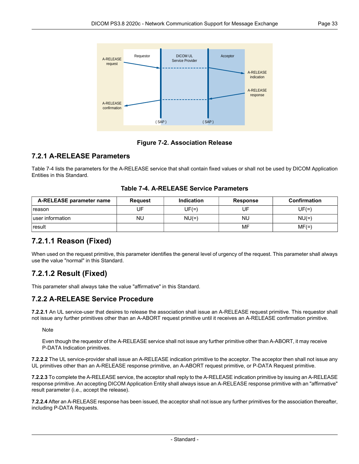<span id="page-32-4"></span>

**Figure 7-2. Association Release**

#### <span id="page-32-0"></span>**7.2.1 A-RELEASE Parameters**

<span id="page-32-5"></span>[Table](#page-32-5) 7-4 lists the parameters for the A-RELEASE service that shall contain fixed values or shall not be used by DICOM Application Entities in this Standard.

<span id="page-32-1"></span>

| A-RELEASE parameter name | Request | <b>Indication</b> | <b>Response</b> | <b>Confirmation</b> |
|--------------------------|---------|-------------------|-----------------|---------------------|
| reason                   | UF      | $UF(=)$           | UF              | $UF(=)$             |
| luser information        | NU      | $NU(=)$           | NU              | $NU(=)$             |
| result                   |         |                   | MF              | $MF(=)$             |

#### **Table 7-4. A-RELEASE Service Parameters**

#### <span id="page-32-2"></span>**7.2.1.1 Reason (Fixed)**

When used on the request primitive, this parameter identifies the general level of urgency of the request. This parameter shall always use the value "normal" in this Standard.

### <span id="page-32-3"></span>**7.2.1.2 Result (Fixed)**

This parameter shall always take the value "affirmative" in this Standard.

#### **7.2.2 A-RELEASE Service Procedure**

**7.2.2.1** An UL service-user that desires to release the association shall issue an A-RELEASE request primitive. This requestor shall not issue any further primitives other than an A-ABORT request primitive until it receives an A-RELEASE confirmation primitive.

**Note** 

Even though the requestor of the A-RELEASE service shall not issue any further primitive other than A-ABORT, it may receive P-DATA Indication primitives.

**7.2.2.2** The UL service-provider shall issue an A-RELEASE indication primitive to the acceptor. The acceptor then shall not issue any UL primitives other than an A-RELEASE response primitive, an A-ABORT request primitive, or P-DATA Request primitive.

**7.2.2.3** To complete the A-RELEASE service, the acceptor shall reply to the A-RELEASE indication primitive by issuing an A-RELEASE response primitive. An accepting DICOM Application Entity shall always issue an A-RELEASE response primitive with an "affirmative" result parameter (i.e., accept the release).

**7.2.2.4** After an A-RELEASE response has been issued, the acceptor shall not issue any further primitives for the association thereafter, including P-DATA Requests.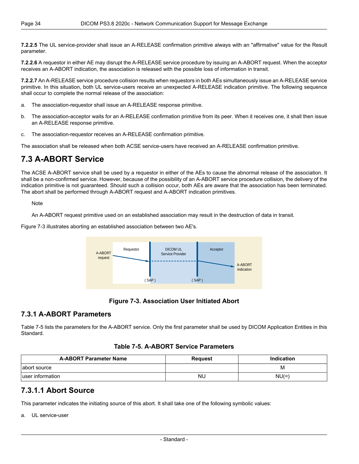**7.2.2.5** The UL service-provider shall issue an A-RELEASE confirmation primitive always with an "affirmative" value for the Result parameter.

**7.2.2.6** A requestor in either AE may disrupt the A-RELEASE service procedure by issuing an A-ABORT request. When the acceptor receives an A-ABORT indication, the association is released with the possible loss of information in transit.

**7.2.2.7** An A-RELEASE service procedure collision results when requestors in both AEs simultaneously issue an A-RELEASE service primitive. In this situation, both UL service-users receive an unexpected A-RELEASE indication primitive. The following sequence shall occur to complete the normal release of the association:

- a. The association-requestor shall issue an A-RELEASE response primitive.
- b. The association-acceptor waits for an A-RELEASE confirmation primitive from its peer. When it receives one, it shall then issue an A-RELEASE response primitive.
- <span id="page-33-0"></span>c. The association-requestor receives an A-RELEASE confirmation primitive.

The association shall be released when both ACSE service-users have received an A-RELEASE confirmation primitive.

#### **7.3 A-ABORT Service**

The ACSE A-ABORT service shall be used by a requestor in either of the AEs to cause the abnormal release of the association. It shall be a non-confirmed service. However, because of the possibility of an A-ABORT service procedure collision, the delivery of the indication primitive is not guaranteed. Should such a collision occur, both AEs are aware that the association has been terminated. The abort shall be performed through A-ABORT request and A-ABORT indication primitives.

**Note** 

An A-ABORT request primitive used on an established association may result in the destruction of data in transit.

<span id="page-33-3"></span>[Figure](#page-33-3) 7-3 illustrates aborting an established association between two AE's.



#### **Figure 7-3. Association User Initiated Abort**

#### <span id="page-33-4"></span><span id="page-33-1"></span>**7.3.1 A-ABORT Parameters**

[Table](#page-33-4) 7-5 lists the parameters for the A-ABORT service. Only the first parameter shall be used by DICOM Application Entities in this Standard.

#### **Table 7-5. A-ABORT Service Parameters**

<span id="page-33-2"></span>

| <b>A-ABORT Parameter Name</b> | <b>Request</b> | <b>Indication</b> |
|-------------------------------|----------------|-------------------|
| abort source                  |                | M                 |
| luser information             | <b>NU</b>      | $NU(=)$           |

#### **7.3.1.1 Abort Source**

This parameter indicates the initiating source of this abort. It shall take one of the following symbolic values:

a. UL service-user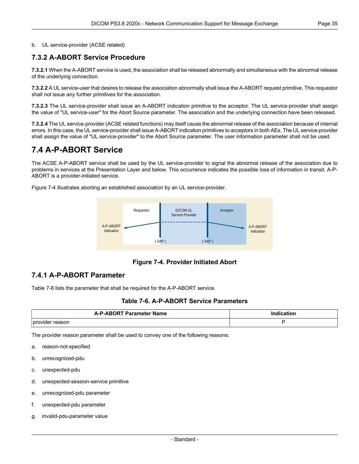#### <span id="page-34-0"></span>b. UL service-provider (ACSE related)

#### **7.3.2 A-ABORT Service Procedure**

**7.3.2.1** When the A-ABORT service is used, the association shall be released abnormally and simultaneous with the abnormal release of the underlying connection.

**7.3.2.2** A UL service-user that desires to release the association abnormally shall issue the A-ABORT request primitive. This requestor shall not issue any further primitives for the association.

**7.3.2.3** The UL service-provider shall issue an A-ABORT indication primitive to the acceptor. The UL service-provider shall assign the value of "UL service-user" for the Abort Source parameter. The association and the underlying connection have been released.

<span id="page-34-1"></span>**7.3.2.4** The UL service-provider (ACSE related functions) may itself cause the abnormal release of the association because of internal errors. In this case, the UL service-provider shall issue A-ABORT indication primitives to acceptors in both AEs. The UL service-provider shall assign the value of "UL service-provider" to the Abort Source parameter. The user information parameter shall not be used.

#### **7.4 A-P-ABORT Service**

The ACSE A-P-ABORT service shall be used by the UL service-provider to signal the abnormal release of the association due to problems in services at the Presentation Layer and below. This occurrence indicates the possible loss of information in transit. A-P- ABORT is a provider-initiated service.

<span id="page-34-3"></span>[Figure](#page-34-3) 7-4 illustrates aborting an established association by an UL service-provider.



**Figure 7-4. Provider Initiated Abort**

#### <span id="page-34-4"></span><span id="page-34-2"></span>**7.4.1 A-P-ABORT Parameter**

[Table](#page-34-4) 7-6 lists the parameter that shall be required for the A-P-ABORT service.

#### **Table 7-6. A-P-ABORT Service Parameters**

| <b>A-P-ARORT Parameter Name</b> | ------ |  |
|---------------------------------|--------|--|
|                                 |        |  |
|                                 |        |  |
| provi<br>asor<br>$  -$          |        |  |

The provider reason parameter shall be used to convey one of the following reasons:

- a. reason-not-specified
- b. unrecognized-pdu
- c. unexpected-pdu
- d. unexpected-session-service primitive
- e. unrecognized-pdu parameter
- f. unexpected-pdu parameter
- g. invalid-pdu-parameter value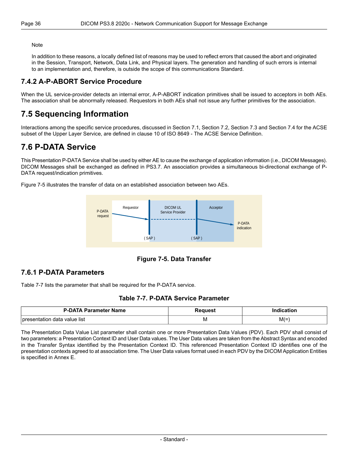In addition to these reasons, a locally defined list of reasons may be used to reflect errors that caused the abort and originated in the Session, Transport, Network, Data Link, and Physical layers. The generation and handling of such errors is internal to an implementation and, therefore, is outside the scope of this communications Standard.

#### <span id="page-35-0"></span>**7.4.2 A-P-ABORT Service Procedure**

<span id="page-35-1"></span>When the UL service-provider detects an internal error, A-P-ABORT indication primitives shall be issued to acceptors in both AEs. The association shall be abnormally released. Requestors in both AEs shall not issue any further primitives for the association.

### **7.5 Sequencing Information**

<span id="page-35-2"></span>Interactions among the specific service procedures, discussed in [Section](#page-26-1) 7.1, [Section](#page-31-4) 7.2, [Section](#page-33-0) 7.3 and [Section](#page-34-1) 7.4 for the ACSE subset of the Upper Layer Service, are defined in clause 10 of ISO 8649 - The ACSE Service Definition.

### **7.6 P-DATA Service**

This Presentation P-DATA Service shall be used by either AE to cause the exchange of application information (i.e., DICOM Messages). DICOM Messages shall be exchanged as defined in [PS3.7.](part07.pdf#PS3.7) An association provides a simultaneous bi-directional exchange of P- DATA request/indication primitives.

<span id="page-35-4"></span>[Figure](#page-35-4) 7-5 illustrates the transfer of data on an established association between two AEs.



**Figure 7-5. Data Transfer**

#### <span id="page-35-5"></span><span id="page-35-3"></span>**7.6.1 P-DATA Parameters**

[Table](#page-35-5) 7-7 lists the parameter that shall be required for the P-DATA service.

#### **Table 7-7. P-DATA Service Parameter**

| <b>P-DATA Parameter Name</b>         | seanes: |       |
|--------------------------------------|---------|-------|
| value list<br>data<br>nres<br>птаног | 1 V I   | $M(=$ |

The Presentation Data Value List parameter shall contain one or more Presentation Data Values (PDV). Each PDV shall consist of two parameters: a Presentation Context ID and User Data values. The User Data values are taken from the Abstract Syntax and encoded in the Transfer Syntax identified by the Presentation Context ID. This referenced Presentation Context ID identifies one of the presentation contexts agreed to at association time. The User Data values format used in each PDV by the DICOM Application Entities is specified in [Annex](#page-66-0) E.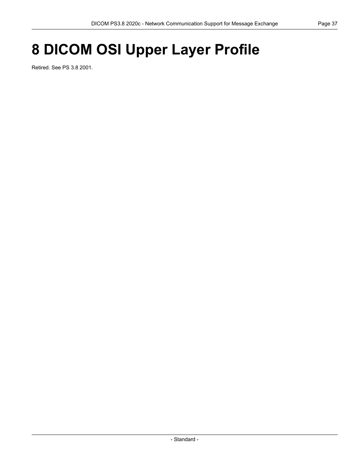# **8 DICOM OSI Upper Layer Profile**

Retired. See PS 3.8 2001.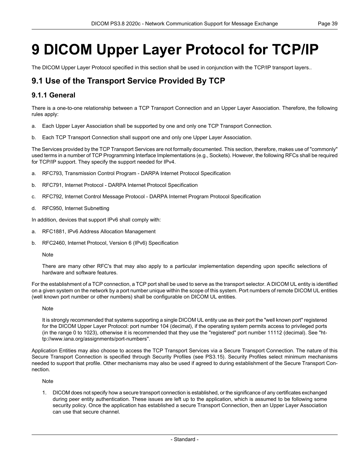# **9 DICOM Upper Layer Protocol for TCP/IP**

The DICOM Upper Layer Protocol specified in this section shall be used in conjunction with the TCP/IP transport layers..

# **9.1 Use of the Transport Service Provided By TCP**

## **9.1.1 General**

There is a one-to-one relationship between a TCP Transport Connection and an Upper Layer Association. Therefore, the following rules apply:

- a. Each Upper Layer Association shall be supported by one and only one TCP Transport Connection.
- b. Each TCP Transport Connection shall support one and only one Upper Layer Association.

The Services provided by the TCP Transport Services are not formally documented. This section, therefore, makes use of "commonly" used terms in a number of TCP Programming Interface Implementations (e.g., Sockets). However, the following RFCs shall be required for TCP/IP support. They specify the support needed for IPv4.

- a. RFC793, Transmission Control Program DARPA Internet Protocol Specification
- b. RFC791, Internet Protocol DARPA Internet Protocol Specification
- c. RFC792, Internet Control Message Protocol DARPA Internet Program Protocol Specification
- d. RFC950, Internet Subnetting

In addition, devices that support IPv6 shall comply with:

- a. RFC1881, IPv6 Address Allocation Management
- b. RFC2460, Internet Protocol, Version 6 (IPv6) Specification

#### Note

There are many other RFC's that may also apply to a particular implementation depending upon specific selections of hardware and software features.

For the establishment of a TCP connection, a TCP port shall be used to serve as the transport selector. A DICOM UL entity is identified on a given system on the network by a port number unique within the scope of this system. Port numbers of remote DICOM UL entities (well known port number or other numbers) shall be configurable on DICOM UL entities.

#### **Note**

It is strongly recommended that systems supporting a single DICOM UL entity use as their port the "well known port" registered for the DICOM Upper Layer Protocol: port number 104 (decimal), if the operating system permits access to privileged ports (in the range 0 to 1023), otherwise it is recommended that they use the "registered" port number 11112 (decimal). See "ht tp://www.iana.org/assignments/port-numbers".

Application Entities may also choose to access the TCP Transport Services via a Secure Transport Connection. The nature of this Secure Transport Connection is specified through Security Profiles (see [PS3.15](part15.pdf#PS3.15)). Security Profiles select minimum mechanisms needed to support that profile. Other mechanisms may also be used if agreed to during establishment of the Secure Transport Con nection.

#### Note

1. DICOM does not specify how a secure transport connection is established, or the significance of any certificates exchanged during peer entity authentication. These issues are left up to the application, which is assumed to be following some security policy. Once the application has established a secure Transport Connection, then an Upper Layer Association can use that secure channel.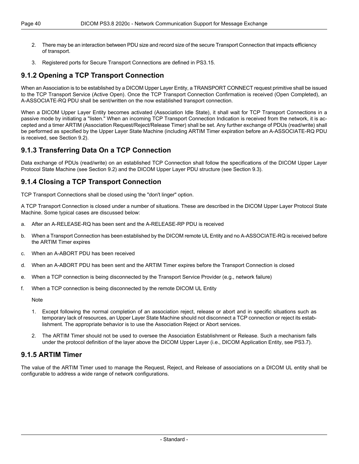- 2. There may be an interaction between PDU size and record size of the secure Transport Connection that impacts efficiency of transport.
- 3. Registered ports for Secure Transport Connections are defined in [PS3.15](part15.pdf#PS3.15).

## **9.1.2 Opening a TCP Transport Connection**

When an Association is to be established by a DICOM Upper Layer Entity, a TRANSPORT CONNECT request primitive shall be issued to the TCP Transport Service (Active Open). Once the TCP Transport Connection Confirmation is received (Open Completed), an A-ASSOCIATE-RQ PDU shall be sent/written on the now established transport connection.

When a DICOM Upper Layer Entity becomes activated (Association Idle State), it shall wait for TCP Transport Connections in a passive mode by initiating a "listen." When an incoming TCP Transport Connection Indication is received from the network, it is ac cepted and a timer ARTIM (Association Request/Reject/Release Timer) shall be set. Any further exchange of PDUs (read/write) shall be performed as specified by the Upper Layer State Machine (including ARTIM Timer expiration before an A-ASSOCIATE-RQ PDU is received, see [Section](#page-40-0) 9.2).

## **9.1.3 Transferring Data On a TCP Connection**

Data exchange of PDUs (read/write) on an established TCP Connection shall follow the specifications of the DICOM Upper Layer Protocol State Machine (see [Section](#page-40-0) 9.2) and the DICOM Upper Layer PDU structure (see [Section](#page-44-0) 9.3).

## **9.1.4 Closing a TCP Transport Connection**

TCP Transport Connections shall be closed using the "don't linger" option.

A TCP Transport Connection is closed under a number of situations. These are described in the DICOM Upper Layer Protocol State Machine. Some typical cases are discussed below:

- a. After an A-RELEASE-RQ has been sent and the A-RELEASE-RP PDU is received
- b. When a Transport Connection has been established by the DICOM remote UL Entity and no A-ASSOCIATE-RQ is received before the ARTIM Timer expires
- c. When an A-ABORT PDU has been received
- d. When an A-ABORT PDU has been sent and the ARTIM Timer expires before the Transport Connection is closed
- e. When a TCP connection is being disconnected by the Transport Service Provider (e.g., network failure)
- f. When a TCP connection is being disconnected by the remote DICOM UL Entity

**Note** 

- 1. Except following the normal completion of an association reject, release or abort and in specific situations such as temporary lack of resources, an Upper Layer State Machine should not disconnect a TCP connection or reject its estab lishment. The appropriate behavior is to use the Association Reject or Abort services.
- 2. The ARTIM Timer should not be used to oversee the Association Establishment or Release. Such a mechanism falls under the protocol definition of the layer above the DICOM Upper Layer (i.e., DICOM Application Entity, see [PS3.7\)](part07.pdf#PS3.7).

## **9.1.5 ARTIM Timer**

The value of the ARTIM Timer used to manage the Request, Reject, and Release of associations on a DICOM UL entity shall be configurable to address a wide range of network configurations.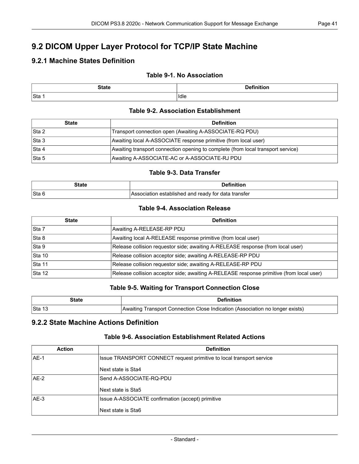# <span id="page-40-0"></span>**9.2 DICOM Upper Layer Protocol for TCP/IP State Machine**

# **9.2.1 Machine States Definition**

### **Table 9-1. No Association**

| <b>State</b> | .<br>--- |
|--------------|----------|
| Sta          | Idle     |

#### **Table 9-2. Association Establishment**

| <b>State</b> | <b>Definition</b>                                                                |  |  |  |  |  |  |  |
|--------------|----------------------------------------------------------------------------------|--|--|--|--|--|--|--|
| Sta 2        | Transport connection open (Awaiting A-ASSOCIATE-RQ PDU)                          |  |  |  |  |  |  |  |
| Sta 3        | Awaiting local A-ASSOCIATE response primitive (from local user)                  |  |  |  |  |  |  |  |
| Sta 4        | Awaiting transport connection opening to complete (from local transport service) |  |  |  |  |  |  |  |
| Sta 5        | Awaiting A-ASSOCIATE-AC or A-ASSOCIATE-RJ PDU                                    |  |  |  |  |  |  |  |

#### **Table 9-3. Data Transfer**

| State  | <b>Definition</b>                                   |
|--------|-----------------------------------------------------|
| ∣Sta 6 | Association established and ready for data transfer |

#### **Table 9-4. Association Release**

| <b>State</b> | <b>Definition</b>                                                                        |
|--------------|------------------------------------------------------------------------------------------|
| Sta 7        | Awaiting A-RELEASE-RP PDU                                                                |
| Sta 8        | Awaiting local A-RELEASE response primitive (from local user)                            |
| Sta 9        | Release collision requestor side; awaiting A-RELEASE response (from local user)          |
| Sta 10       | Release collision acceptor side; awaiting A-RELEASE-RP PDU                               |
| Sta 11       | Release collision requestor side; awaiting A-RELEASE-RP PDU                              |
| Sta 12       | Release collision acceptor side; awaiting A-RELEASE response primitive (from local user) |

#### **Table 9-5. Waiting for Transport Connection Close**

| State  | <b>Definition</b>                                                             |  |  |  |  |  |  |
|--------|-------------------------------------------------------------------------------|--|--|--|--|--|--|
| Sta 13 | Awaiting Transport Connection Close Indication (Association no longer exists) |  |  |  |  |  |  |

## **9.2.2 State Machine Actions Definition**

#### **Table 9-6. Association Establishment Related Actions**

| <b>Action</b> | <b>Definition</b>                                                    |  |  |  |  |  |
|---------------|----------------------------------------------------------------------|--|--|--|--|--|
| AE-1          | Issue TRANSPORT CONNECT request primitive to local transport service |  |  |  |  |  |
|               | Next state is Sta4                                                   |  |  |  |  |  |
| AE-2          | Send A-ASSOCIATE-RQ-PDU                                              |  |  |  |  |  |
|               | Next state is Sta5                                                   |  |  |  |  |  |
| IAE-3         | Issue A-ASSOCIATE confirmation (accept) primitive                    |  |  |  |  |  |
|               | Next state is Sta6                                                   |  |  |  |  |  |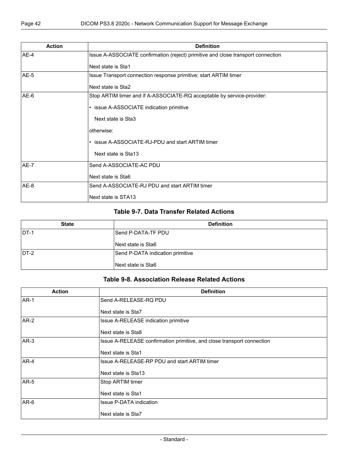| <b>Action</b> | <b>Definition</b>                                                                |
|---------------|----------------------------------------------------------------------------------|
| $AE-4$        | Issue A-ASSOCIATE confirmation (reject) primitive and close transport connection |
|               | Next state is Sta1                                                               |
| $AE-5$        | Issue Transport connection response primitive; start ARTIM timer                 |
|               | Next state is Sta2                                                               |
| $AE-6$        | Stop ARTIM timer and if A-ASSOCIATE-RQ acceptable by service-provider:           |
|               | • issue A-ASSOCIATE indication primitive                                         |
|               | Next state is Sta3                                                               |
|               | otherwise:                                                                       |
|               | • issue A-ASSOCIATE-RJ-PDU and start ARTIM timer                                 |
|               | Next state is Sta13                                                              |
| $AE-7$        | Send A-ASSOCIATE-AC PDU                                                          |
|               | Next state is Sta6                                                               |
| $AE-8$        | Send A-ASSOCIATE-RJ PDU and start ARTIM timer                                    |
|               | Next state is STA13                                                              |

### **Table 9-7. Data Transfer Related Actions**

| <b>State</b> | <b>Definition</b>                |
|--------------|----------------------------------|
| DT-1         | Send P-DATA-TF PDU               |
|              | Next state is Sta6               |
| $DT-2$       | Send P-DATA indication primitive |
|              | Next state is Sta6               |

#### **Table 9-8. Association Release Related Actions**

| <b>Action</b> | <b>Definition</b>                                                      |  |  |  |  |  |  |  |
|---------------|------------------------------------------------------------------------|--|--|--|--|--|--|--|
| <b>AR-1</b>   | Send A-RELEASE-RQ PDU                                                  |  |  |  |  |  |  |  |
|               | Next state is Sta7                                                     |  |  |  |  |  |  |  |
| $AR-2$        | Issue A-RELEASE indication primitive                                   |  |  |  |  |  |  |  |
|               | Next state is Sta8                                                     |  |  |  |  |  |  |  |
| $AR-3$        | Issue A-RELEASE confirmation primitive, and close transport connection |  |  |  |  |  |  |  |
|               | Next state is Sta1                                                     |  |  |  |  |  |  |  |
| $AR-4$        | Issue A-RELEASE-RP PDU and start ARTIM timer                           |  |  |  |  |  |  |  |
|               | Next state is Sta13                                                    |  |  |  |  |  |  |  |
| <b>AR-5</b>   | Stop ARTIM timer                                                       |  |  |  |  |  |  |  |
|               | Next state is Sta1                                                     |  |  |  |  |  |  |  |
| $AR-6$        | <b>Issue P-DATA indication</b>                                         |  |  |  |  |  |  |  |
|               | Next state is Sta7                                                     |  |  |  |  |  |  |  |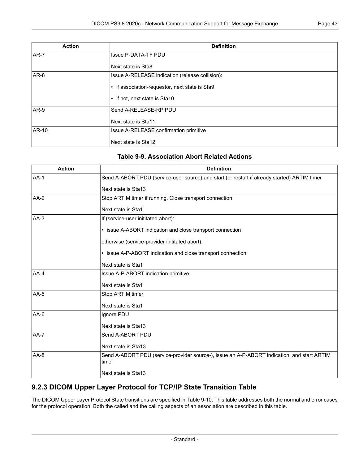| <b>Action</b> | <b>Definition</b>                                    |
|---------------|------------------------------------------------------|
| AR-7          | Issue P-DATA-TF PDU                                  |
|               | Next state is Sta8                                   |
| $AR-8$        | Issue A-RELEASE indication (release collision):      |
|               | $\cdot$ if association-requestor, next state is Sta9 |
|               | $\cdot$ if not, next state is Sta10                  |
| $AR-9$        | Send A-RELEASE-RP PDU                                |
|               | Next state is Sta11                                  |
| AR-10         | Issue A-RELEASE confirmation primitive               |
|               | Next state is Sta12                                  |

#### **Table 9-9. Association Abort Related Actions**

| <b>Action</b> | <b>Definition</b>                                                                                    |  |  |  |  |  |  |  |  |
|---------------|------------------------------------------------------------------------------------------------------|--|--|--|--|--|--|--|--|
| $AA-1$        | Send A-ABORT PDU (service-user source) and start (or restart if already started) ARTIM timer         |  |  |  |  |  |  |  |  |
|               | Next state is Sta13                                                                                  |  |  |  |  |  |  |  |  |
| $AA-2$        | Stop ARTIM timer if running. Close transport connection                                              |  |  |  |  |  |  |  |  |
|               | Next state is Sta1                                                                                   |  |  |  |  |  |  |  |  |
| $AA-3$        | If (service-user inititated abort):                                                                  |  |  |  |  |  |  |  |  |
|               | • issue A-ABORT indication and close transport connection                                            |  |  |  |  |  |  |  |  |
|               | otherwise (service-provider inititated abort):                                                       |  |  |  |  |  |  |  |  |
|               | • issue A-P-ABORT indication and close transport connection                                          |  |  |  |  |  |  |  |  |
|               | Next state is Sta1                                                                                   |  |  |  |  |  |  |  |  |
| $AA-4$        | Issue A-P-ABORT indication primitive                                                                 |  |  |  |  |  |  |  |  |
|               | Next state is Sta1                                                                                   |  |  |  |  |  |  |  |  |
| $AA-5$        | Stop ARTIM timer                                                                                     |  |  |  |  |  |  |  |  |
|               | Next state is Sta1                                                                                   |  |  |  |  |  |  |  |  |
| AA-6          | Ignore PDU                                                                                           |  |  |  |  |  |  |  |  |
|               | Next state is Sta13                                                                                  |  |  |  |  |  |  |  |  |
| $AA-7$        | Send A-ABORT PDU                                                                                     |  |  |  |  |  |  |  |  |
|               | Next state is Sta13                                                                                  |  |  |  |  |  |  |  |  |
| $AA-8$        | Send A-ABORT PDU (service-provider source-), issue an A-P-ABORT indication, and start ARTIM<br>timer |  |  |  |  |  |  |  |  |
|               | Next state is Sta13                                                                                  |  |  |  |  |  |  |  |  |

## **9.2.3 DICOM Upper Layer Protocol for TCP/IP State Transition Table**

The DICOM Upper Layer Protocol State transitions are specified in [Table](#page-43-0) 9-10. This table addresses both the normal and error cases for the protocol operation. Both the called and the calling aspects of an association are described in this table.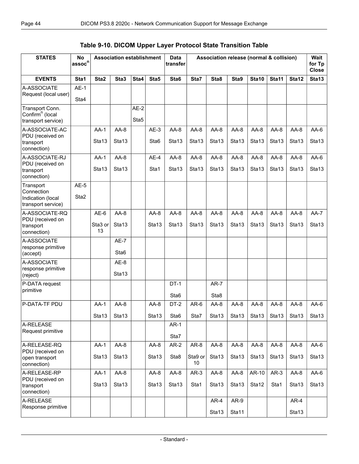## **Table 9-10. DICOM Upper Layer Protocol State Transition Table**

<span id="page-43-0"></span>

| <b>STATES</b>                                                        | No<br>$\mathsf{assoc}^{\mathsf{n}}$ | <b>Association establishment</b> |                             |                |                             | Data<br>transfer            | Association release (normal & collision) |                             |                             |                             |                             | Wait<br>for Tp<br><b>Close</b> |                 |
|----------------------------------------------------------------------|-------------------------------------|----------------------------------|-----------------------------|----------------|-----------------------------|-----------------------------|------------------------------------------|-----------------------------|-----------------------------|-----------------------------|-----------------------------|--------------------------------|-----------------|
| <b>EVENTS</b>                                                        | Sta1                                | Sta2                             | Sta3                        | Sta4           | Sta5                        | Sta6                        | Sta7                                     | Sta8                        | Sta9                        | Sta10                       | Sta11                       | Sta12                          | Sta13           |
| A-ASSOCIATE<br>Request (local user)                                  | $AE-1$<br>Sta4                      |                                  |                             |                |                             |                             |                                          |                             |                             |                             |                             |                                |                 |
| Transport Conn.<br>Confirm <sup>n</sup> (local<br>transport service) |                                     |                                  |                             | $AE-2$<br>Sta5 |                             |                             |                                          |                             |                             |                             |                             |                                |                 |
| A-ASSOCIATE-AC<br>PDU (received on<br>transport<br>connection)       |                                     | $AA-1$<br>Sta <sub>13</sub>      | $AA-8$<br>Sta <sub>13</sub> |                | $AE-3$<br>Sta <sub>6</sub>  | $AA-8$<br>Sta <sub>13</sub> | $AA-8$<br>Sta <sub>13</sub>              | $AA-8$<br>Sta <sub>13</sub> | $AA-8$<br>Sta <sub>13</sub> | $AA-8$<br>Sta <sub>13</sub> | $AA-8$<br>Sta <sub>13</sub> | $AA-8$<br>Sta <sub>13</sub>    | AA-6<br>Sta13   |
| A-ASSOCIATE-RJ<br>PDU (received on<br>transport<br>connection)       |                                     | $AA-1$<br>Sta13                  | $AA-8$<br>Sta13             |                | $AE-4$<br>Sta1              | $AA-8$<br>Sta <sub>13</sub> | $AA-8$<br>Sta13                          | $AA-8$<br>Sta13             | AA-8<br>Sta13               | $AA-8$<br>Sta13             | $AA-8$<br>Sta13             | AA-8<br>Sta13                  | AA-6<br>Sta13   |
| Transport<br>Connection<br>Indication (local<br>transport service)   | $AE-5$<br>Sta <sub>2</sub>          |                                  |                             |                |                             |                             |                                          |                             |                             |                             |                             |                                |                 |
| A-ASSOCIATE-RQ<br>PDU (received on<br>transport<br>connection)       |                                     | $AE-6$<br>Sta3 or<br>13          | $AA-8$<br>Sta <sub>13</sub> |                | $AA-8$<br>Sta <sub>13</sub> | $AA-8$<br>Sta <sub>13</sub> | $AA-8$<br>Sta13                          | $AA-8$<br>Sta <sub>13</sub> | $AA-8$<br>Sta <sub>13</sub> | $AA-8$<br>Sta <sub>13</sub> | $AA-8$<br>Sta <sub>13</sub> | $AA-8$<br>Sta <sub>13</sub>    | $AA-7$<br>Sta13 |
| A-ASSOCIATE<br>response primitive<br>(accept)                        |                                     |                                  | $AE-7$<br>Sta <sub>6</sub>  |                |                             |                             |                                          |                             |                             |                             |                             |                                |                 |
| A-ASSOCIATE<br>response primitive<br>(reject)                        |                                     |                                  | $AE-8$<br>Sta13             |                |                             |                             |                                          |                             |                             |                             |                             |                                |                 |
| P-DATA request<br>primitive                                          |                                     |                                  |                             |                |                             | $DT-1$<br>Sta <sub>6</sub>  |                                          | $AR-7$<br>Sta8              |                             |                             |                             |                                |                 |
| P-DATA-TF PDU                                                        |                                     | $AA-1$<br>Sta13                  | $AA-8$<br>Sta13             |                | $AA-8$<br>Sta13             | DT-2<br>Sta6                | $AR-6$<br>Sta7                           | $AA-8$<br>Sta13             | $AA-8$<br>Sta13 $ $         | $AA-8$<br>Sta13             | $AA-8$<br>Sta13             | $AA-8$<br>Sta13                | AA-6<br>Sta13   |
| A-RELEASE<br>Request primitive                                       |                                     |                                  |                             |                |                             | $AR-1$<br>Sta7              |                                          |                             |                             |                             |                             |                                |                 |
| A-RELEASE-RQ<br>PDU (received on<br>open transport<br>connection)    |                                     | $AA-1$<br>Sta13                  | $AA-8$<br>Sta13             |                | AA-8<br>Sta13               | $AR-2$<br>Sta8              | AR-8<br>Sta9 or<br>10                    | AA-8<br>Sta13               | AA-8<br>Sta13               | AA-8<br>Sta13               | $AA-8$<br>Sta13             | AA-8<br>Sta13                  | AA-6<br>Sta13   |
| A-RELEASE-RP<br>PDU (received on<br>transport<br>connection)         |                                     | $AA-1$<br>Sta13                  | $AA-8$<br>Sta13             |                | $AA-8$<br>Sta13             | AA-8<br>Sta13               | $AR-3$<br>Sta1                           | AA-8<br>Sta13               | AA-8<br>Sta13               | AR-10<br>Sta12              | $AR-3$<br>Sta1              | AA-8<br>Sta13                  | AA-6<br>Sta13   |
| A-RELEASE<br>Response primitive                                      |                                     |                                  |                             |                |                             |                             |                                          | $AR-4$<br>Sta13             | AR-9<br>Sta11               |                             |                             | $AR-4$<br>Sta13                |                 |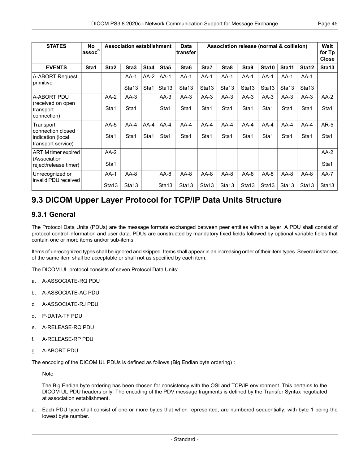| <b>STATES</b>                              | <b>No</b><br>ˈassoc <sup>n</sup> |                   | <b>Association establishment</b> |        |                   | Data<br>transfer  |                   | Association release (normal & collision) |                   |                   |                   |                   | <b>Wait</b><br>for Tp<br><b>Close</b> |
|--------------------------------------------|----------------------------------|-------------------|----------------------------------|--------|-------------------|-------------------|-------------------|------------------------------------------|-------------------|-------------------|-------------------|-------------------|---------------------------------------|
| <b>EVENTS</b>                              | Sta1                             | Sta <sub>2</sub>  | Sta <sub>3</sub>                 | Sta4   | Sta5              | Sta <sub>6</sub>  | Sta7              | Sta8                                     | Sta9              | Sta10             | Sta11             | Sta12             | Sta13                                 |
| A-ABORT Request<br>primitive               |                                  |                   | $AA-1$                           | $AA-2$ | $AA-1$            | $AA-1$            | $AA-1$            | $AA-1$                                   | $AA-1$            | $AA-1$            | $AA-1$            | $AA-1$            |                                       |
|                                            |                                  |                   | Sta <sub>13</sub>                | Sta1   | Sta <sub>13</sub> | Sta <sub>13</sub> | Sta <sub>13</sub> | Sta <sub>13</sub>                        | Sta <sub>13</sub> | Sta <sub>13</sub> | Sta <sub>13</sub> | Sta <sub>13</sub> |                                       |
| A-ABORT PDU<br>(received on open           |                                  | $AA-2$            | $AA-3$                           |        | $AA-3$            | $AA-3$            | $AA-3$            | $AA-3$                                   | $AA-3$            | $AA-3$            | $AA-3$            | $AA-3$            | $AA-2$                                |
| transport<br>connection)                   |                                  | Sta1              | Sta1                             |        | Sta1              | Sta1              | Sta1              | Sta1                                     | Sta1              | Sta1              | Sta1              | Sta1              | Sta1                                  |
| Transport<br>connection closed             |                                  | $AA-5$            | $AA-4$                           | $AA-4$ | $AA-4$            | $AA-4$            | $AA-4$            | $AA-4$                                   | $AA-4$            | $AA-4$            | $AA-4$            | $AA-4$            | $AR-5$                                |
| indication (local<br>transport service)    |                                  | Sta1              | Sta1                             | Sta1   | Sta1              | Sta1              | Sta1              | Sta1                                     | Sta1              | Sta1              | Sta1              | Sta1              | Sta1                                  |
| <b>ARTIM</b> timer expired<br>(Association |                                  | $AA-2$            |                                  |        |                   |                   |                   |                                          |                   |                   |                   |                   | $AA-2$                                |
| reject/release timer)                      |                                  | Sta1              |                                  |        |                   |                   |                   |                                          |                   |                   |                   |                   | Sta1                                  |
| Unrecognized or<br>invalid PDU received    |                                  | $AA-1$            | $AA-8$                           |        | $AA-8$            | AA-8              | $AA-8$            | $AA-8$                                   | $AA-8$            | $AA-8$            | AA-8              | $AA-8$            | AA-7                                  |
|                                            |                                  | Sta <sub>13</sub> | Sta <sub>13</sub>                |        | Sta <sub>13</sub> | Sta13             | Sta13             | Sta13                                    | Sta <sub>13</sub> | Sta13             | Sta13             | Sta <sub>13</sub> | Sta <sub>13</sub>                     |

# <span id="page-44-0"></span>**9.3 DICOM Upper Layer Protocol for TCP/IP Data Units Structure**

## **9.3.1 General**

The Protocol Data Units (PDUs) are the message formats exchanged between peer entities within a layer. A PDU shall consist of protocol control information and user data. PDUs are constructed by mandatory fixed fields followed by optional variable fields that contain one or more items and/or sub-items.

Items of unrecognized types shall be ignored and skipped. Items shall appear in an increasing order of their item types. Several instances of the same item shall be acceptable or shall not as specified by each item.

The DICOM UL protocol consists of seven Protocol Data Units:

- a. A-ASSOCIATE-RQ PDU
- b. A-ASSOCIATE-AC PDU
- c. A-ASSOCIATE-RJ PDU
- d. P-DATA-TF PDU
- e. A-RELEASE-RQ PDU
- f. A-RELEASE-RP PDU
- g. A-ABORT PDU

The encoding of the DICOM UL PDUs is defined as follows (Big Endian byte ordering) :

Note

The Big Endian byte ordering has been chosen for consistency with the OSI and TCP/IP environment. This pertains to the DICOM UL PDU headers only. The encoding of the PDV message fragments is defined by the Transfer Syntax negotiated at association establishment.

a. Each PDU type shall consist of one or more bytes that when represented, are numbered sequentially, with byte 1 being the lowest byte number.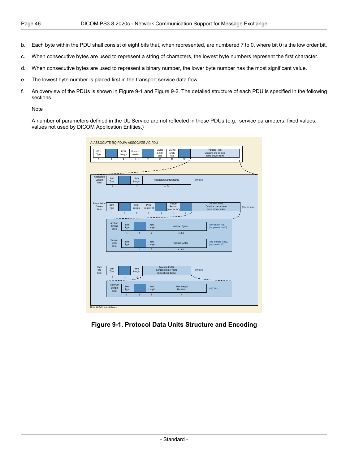- b. Each byte within the PDU shall consist of eight bits that, when represented, are numbered 7 to 0, where bit 0 is the low order bit.
- c. When consecutive bytes are used to represent a string of characters, the lowest byte numbers represent the first character.
- d. When consecutive bytes are used to represent a binary number, the lower byte number has the most significant value.
- e. The lowest byte number is placed first in the transport service data flow.
- f. An overview of the PDUs is shown in [Figure](#page-45-0) 9-1 and [Figure](#page-46-0) 9-2. The detailed structure of each PDU is specified in the following sections.

#### Note

<span id="page-45-0"></span>A number of parameters defined in the UL Service are not reflected in these PDUs (e.g., service parameters, fixed values, values not used by DICOM Application Entities.)

| PDU<br>Type<br>$\overline{1}$   | $\overline{1}$                 | PDU<br>Length<br>$\overline{4}$ | Protocol<br>Version<br>$\overline{2}$ | $\overline{2}$                        | Called<br>Calling<br>Entity<br>Entity<br>Title<br>Title<br>16<br>16   | 32                               |            | (Variable Field)<br>Contains one or more<br>Items shown below |               |
|---------------------------------|--------------------------------|---------------------------------|---------------------------------------|---------------------------------------|-----------------------------------------------------------------------|----------------------------------|------------|---------------------------------------------------------------|---------------|
|                                 |                                |                                 |                                       |                                       |                                                                       |                                  |            |                                                               | $\ddot{z}$    |
| Application<br>Context<br>Item  | Item<br>Type<br>$\overline{1}$ | $\overline{1}$                  | Item<br>Length<br>$\overline{2}$      |                                       | Application Context Name<br>$= 64$                                    |                                  | (only one) |                                                               |               |
| Presentation<br>Context<br>Item | Item<br>Type<br>$\overline{1}$ | $\overline{1}$                  | Item<br>Length<br>$\overline{2}$      | Pres.<br>Context ID<br>$\overline{1}$ | Result/<br>Reason<br>used for AC)<br>$\overline{1}$<br>$\overline{1}$ | $\mathbf{1}$                     |            | (Variable Field)<br>Contains one or more<br>Items shown below | (one or more) |
|                                 | Abstract<br>Syntax<br>litem    | Item<br>Type<br>$\overline{1}$  | $\overline{1}$                        | Item<br>Length<br>$\overline{2}$      |                                                                       | <b>Abstract Syntax</b><br>$= 64$ |            | (only one in RQ)<br>(not present in AC)                       |               |
|                                 | Transfer<br>Syntx<br>Item      | Item<br>Type<br>$\overline{1}$  | $\overline{1}$                        | Item<br>Length<br>$\overline{2}$      |                                                                       | <b>Transfer Syntax</b><br>$= 64$ |            | (one or more in RQ)<br>(only one in AC)                       |               |
| User                            |                                |                                 |                                       |                                       | (Variable Field)                                                      |                                  |            |                                                               |               |
| Info<br>Item                    | Item<br>Type<br>$\overline{1}$ | $\overline{1}$                  | Item<br>Length<br>$\overline{2}$      |                                       | Contains one or more<br>Items shown below                             |                                  | (only one) |                                                               |               |
|                                 | Maximum<br>Length<br>Item      | Item<br>Type                    |                                       | Item<br>Length                        |                                                                       | Max. Length<br>Received          |            | (only one)                                                    |               |
|                                 |                                | $\overline{1}$                  | $\overline{1}$                        | $\overline{2}$                        |                                                                       | $\overline{4}$                   |            |                                                               |               |

**Figure 9-1. Protocol Data Units Structure and Encoding**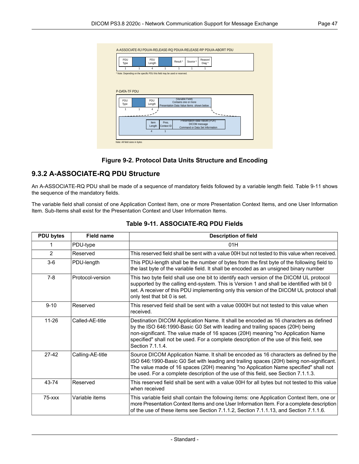<span id="page-46-0"></span>

### **Figure 9-2. Protocol Data Units Structure and Encoding**

### **9.3.2 A-ASSOCIATE-RQ PDU Structure**

An A-ASSOCIATE-RQ PDU shall be made of a sequence of mandatory fields followed by a variable length field. [Table](#page-46-1) 9-11 shows the sequence of the mandatory fields.

<span id="page-46-1"></span>The variable field shall consist of one Application Context Item, one or more Presentation Context Items, and one User Information Item. Sub-Items shall exist for the Presentation Context and User Information Items.

| <b>PDU bytes</b> | <b>Field name</b> | <b>Description of field</b>                                                                                                                                                                                                                                                                                                                                           |
|------------------|-------------------|-----------------------------------------------------------------------------------------------------------------------------------------------------------------------------------------------------------------------------------------------------------------------------------------------------------------------------------------------------------------------|
|                  | PDU-type          | 01H                                                                                                                                                                                                                                                                                                                                                                   |
| $\overline{2}$   | Reserved          | This reserved field shall be sent with a value 00H but not tested to this value when received.                                                                                                                                                                                                                                                                        |
| $3-6$            | PDU-length        | This PDU-length shall be the number of bytes from the first byte of the following field to<br>the last byte of the variable field. It shall be encoded as an unsigned binary number                                                                                                                                                                                   |
| $7-8$            | Protocol-version  | This two byte field shall use one bit to identify each version of the DICOM UL protocol<br>supported by the calling end-system. This is Version 1 and shall be identified with bit 0<br>set. A receiver of this PDU implementing only this version of the DICOM UL protocol shall<br>only test that bit 0 is set.                                                     |
| $9 - 10$         | Reserved          | This reserved field shall be sent with a value 0000H but not tested to this value when<br>received.                                                                                                                                                                                                                                                                   |
| $11 - 26$        | Called-AE-title   | Destination DICOM Application Name. It shall be encoded as 16 characters as defined<br>by the ISO 646:1990-Basic G0 Set with leading and trailing spaces (20H) being<br>non-significant. The value made of 16 spaces (20H) meaning "no Application Name<br>specified" shall not be used. For a complete description of the use of this field, see<br>Section 7.1.1.4. |
| $27-42$          | Calling-AE-title  | Source DICOM Application Name. It shall be encoded as 16 characters as defined by the<br>ISO 646:1990-Basic G0 Set with leading and trailing spaces (20H) being non-significant.<br>The value made of 16 spaces (20H) meaning "no Application Name specified" shall not<br>be used. For a complete description of the use of this field, see Section 7.1.1.3.         |
| 43-74            | Reserved          | This reserved field shall be sent with a value 00H for all bytes but not tested to this value<br>when received                                                                                                                                                                                                                                                        |
| $75  xxx$        | Variable items    | This variable field shall contain the following items: one Application Context Item, one or<br>more Presentation Context Items and one User Information Item. For a complete description<br>of the use of these items see Section 7.1.1.2, Section 7.1.1.13, and Section 7.1.1.6.                                                                                     |

#### **Table 9-11. ASSOCIATE-RQ PDU Fields**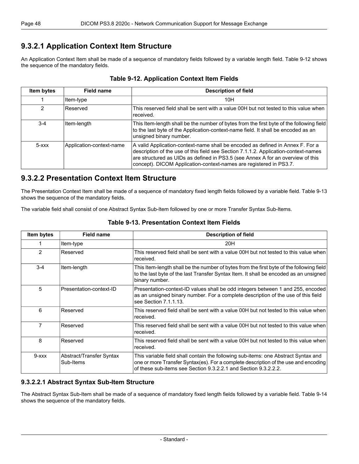# **9.3.2.1 Application Context Item Structure**

<span id="page-47-0"></span>An Application Context Item shall be made of a sequence of mandatory fields followed by a variable length field. [Table](#page-47-0) 9-12 shows the sequence of the mandatory fields.

| Item bytes | <b>Field name</b>        | <b>Description of field</b>                                                                                                                                                                                                                                                                                                    |
|------------|--------------------------|--------------------------------------------------------------------------------------------------------------------------------------------------------------------------------------------------------------------------------------------------------------------------------------------------------------------------------|
|            | Item-type                | 10H                                                                                                                                                                                                                                                                                                                            |
| 2          | ∣Reserved                | This reserved field shall be sent with a value 00H but not tested to this value when<br>received.                                                                                                                                                                                                                              |
| $3-4$      | Item-length              | This Item-length shall be the number of bytes from the first byte of the following field<br>to the last byte of the Application-context-name field. It shall be encoded as an<br>unsigned binary number.                                                                                                                       |
| $5  xxx$   | Application-context-name | A valid Application-context-name shall be encoded as defined in Annex F. For a<br>description of the use of this field see Section 7.1.1.2. Application-context-names<br>are structured as UIDs as defined in PS3.5 (see Annex A for an overview of this<br>concept). DICOM Application-context-names are registered in PS3.7. |

#### **Table 9-12. Application Context Item Fields**

# **9.3.2.2 Presentation Context Item Structure**

<span id="page-47-1"></span>The Presentation Context Item shall be made of a sequence of mandatory fixed length fields followed by a variable field. [Table](#page-47-1) 9-13 shows the sequence of the mandatory fields.

The variable field shall consist of one Abstract Syntax Sub-Item followed by one or more Transfer Syntax Sub-Items.

| Item bytes  | <b>Field name</b>                     | <b>Description of field</b>                                                                                                                                                                                                                  |
|-------------|---------------------------------------|----------------------------------------------------------------------------------------------------------------------------------------------------------------------------------------------------------------------------------------------|
|             | Item-type                             | 20H                                                                                                                                                                                                                                          |
| 2           | Reserved                              | This reserved field shall be sent with a value 00H but not tested to this value when<br>received.                                                                                                                                            |
| $3 - 4$     | Item-length                           | This Item-length shall be the number of bytes from the first byte of the following field<br>to the last byte of the last Transfer Syntax Item. It shall be encoded as an unsigned<br>binary number.                                          |
| 5           | Presentation-context-ID               | Presentation-context-ID values shall be odd integers between 1 and 255, encoded<br>as an unsigned binary number. For a complete description of the use of this field<br>see Section 7.1.1.13.                                                |
| 6           | Reserved                              | This reserved field shall be sent with a value 00H but not tested to this value when<br>received.                                                                                                                                            |
| 7           | Reserved                              | This reserved field shall be sent with a value 00H but not tested to this value when<br>received.                                                                                                                                            |
| 8           | Reserved                              | This reserved field shall be sent with a value 00H but not tested to this value when $\mid$<br>received.                                                                                                                                     |
| $9 - x x x$ | Abstract/Transfer Syntax<br>Sub-Items | This variable field shall contain the following sub-items: one Abstract Syntax and<br>one or more Transfer Syntax(es). For a complete description of the use and encoding<br>of these sub-items see Section 9.3.2.2.1 and Section 9.3.2.2.2. |

#### **Table 9-13. Presentation Context Item Fields**

#### <span id="page-47-2"></span>**9.3.2.2.1 Abstract Syntax Sub-Item Structure**

The Abstract Syntax Sub-Item shall be made of a sequence of mandatory fixed length fields followed by a variable field. [Table](#page-48-1) 9-14 shows the sequence of the mandatory fields.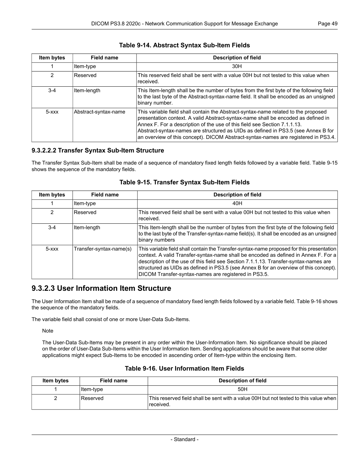#### **Table 9-14. Abstract Syntax Sub-Item Fields**

<span id="page-48-1"></span>

| Item bytes | Field name           | Description of field                                                                                                                                                                                                                                                                                                                                                                                                            |
|------------|----------------------|---------------------------------------------------------------------------------------------------------------------------------------------------------------------------------------------------------------------------------------------------------------------------------------------------------------------------------------------------------------------------------------------------------------------------------|
|            | Item-type            | 30H                                                                                                                                                                                                                                                                                                                                                                                                                             |
| 2          | <b>Reserved</b>      | This reserved field shall be sent with a value 00H but not tested to this value when<br>received.                                                                                                                                                                                                                                                                                                                               |
| $3 - 4$    | Item-length          | This Item-length shall be the number of bytes from the first byte of the following field<br>to the last byte of the Abstract-syntax-name field. It shall be encoded as an unsigned<br>binary number.                                                                                                                                                                                                                            |
| $5 - XXX$  | Abstract-syntax-name | This variable field shall contain the Abstract-syntax-name related to the proposed<br>presentation context. A valid Abstract-syntax-name shall be encoded as defined in<br>Annex F. For a description of the use of this field see Section 7.1.1.13.<br>Abstract-syntax-names are structured as UIDs as defined in PS3.5 (see Annex B for<br>an overview of this concept). DICOM Abstract-syntax-names are registered in PS3.4. |

#### <span id="page-48-0"></span>**9.3.2.2.2 Transfer Syntax Sub-Item Structure**

<span id="page-48-2"></span>The Transfer Syntax Sub-Item shall be made of a sequence of mandatory fixed length fields followed by a variable field. [Table](#page-48-2) 9-15 shows the sequence of the mandatory fields.

| Item bytes | <b>Field name</b>       | <b>Description of field</b>                                                                                                                                                                                                                                                                                                                                                                                               |
|------------|-------------------------|---------------------------------------------------------------------------------------------------------------------------------------------------------------------------------------------------------------------------------------------------------------------------------------------------------------------------------------------------------------------------------------------------------------------------|
|            | Item-type               | 40H                                                                                                                                                                                                                                                                                                                                                                                                                       |
| 2          | <b>Reserved</b>         | This reserved field shall be sent with a value 00H but not tested to this value when<br>received.                                                                                                                                                                                                                                                                                                                         |
| $3-4$      | Item-length             | This Item-length shall be the number of bytes from the first byte of the following field<br>to the last byte of the Transfer-syntax-name field(s). It shall be encoded as an unsigned<br>binary numbers                                                                                                                                                                                                                   |
| $5 - xxx$  | Transfer-syntax-name(s) | This variable field shall contain the Transfer-syntax-name proposed for this presentation<br>context. A valid Transfer-syntax-name shall be encoded as defined in Annex F. For a<br>description of the use of this field see Section 7.1.1.13. Transfer-syntax-names are<br>structured as UIDs as defined in PS3.5 (see Annex B for an overview of this concept).<br>DICOM Transfer-syntax-names are registered in PS3.5. |

#### **Table 9-15. Transfer Syntax Sub-Item Fields**

# **9.3.2.3 User Information Item Structure**

The User Information Item shall be made of a sequence of mandatory fixed length fields followed by a variable field. [Table](#page-48-3) 9-16 shows the sequence of the mandatory fields.

<span id="page-48-3"></span>The variable field shall consist of one or more User-Data Sub-Items.

Note

The User-Data Sub-Items may be present in any order within the User-Information Item. No significance should be placed on the order of User-Data Sub-Items within the User Information Item. Sending applications should be aware that some older applications might expect Sub-Items to be encoded in ascending order of Item-type within the enclosing Item.

| <b>Item bytes</b> | <b>Field name</b> | <b>Description of field</b>                                                                       |
|-------------------|-------------------|---------------------------------------------------------------------------------------------------|
|                   | ∣ltem-t∨pe        | 50H                                                                                               |
|                   | Reserved          | This reserved field shall be sent with a value 00H but not tested to this value when<br>received. |

#### **Table 9-16. User Information Item Fields**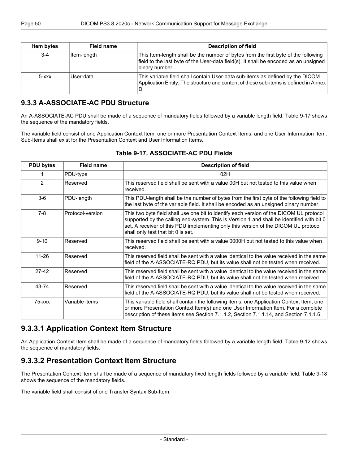| ı ay <del>c</del> oo |  |  |  |
|----------------------|--|--|--|
|                      |  |  |  |

| Item bytes      | Field name  | Description of field                                                                                                                                                                         |
|-----------------|-------------|----------------------------------------------------------------------------------------------------------------------------------------------------------------------------------------------|
| $3 - 4$         | ltem-length | This Item-length shall be the number of bytes from the first byte of the following<br>field to the last byte of the User-data field(s). It shall be encoded as an unsigned<br>binary number. |
| $5 - x$ $x$ $x$ | User-data   | This variable field shall contain User-data sub-items as defined by the DICOM<br>Application Entity. The structure and content of these sub-items is defined in Annex                        |

# **9.3.3 A-ASSOCIATE-AC PDU Structure**

An A-ASSOCIATE-AC PDU shall be made of a sequence of mandatory fields followed by a variable length field. [Table](#page-49-0) 9-17 shows the sequence of the mandatory fields.

<span id="page-49-0"></span>The variable field consist of one Application Context Item, one or more Presentation Context Items, and one User Information Item. Sub-Items shall exist for the Presentation Context and User Information Items.

| <b>PDU bytes</b> | <b>Field name</b> | <b>Description of field</b>                                                                                                                                                                                                                                                                                       |
|------------------|-------------------|-------------------------------------------------------------------------------------------------------------------------------------------------------------------------------------------------------------------------------------------------------------------------------------------------------------------|
|                  | PDU-type          | 02H                                                                                                                                                                                                                                                                                                               |
| $\mathcal{P}$    | Reserved          | This reserved field shall be sent with a value 00H but not tested to this value when<br>received.                                                                                                                                                                                                                 |
| $3-6$            | PDU-length        | This PDU-length shall be the number of bytes from the first byte of the following field to<br>the last byte of the variable field. It shall be encoded as an unsigned binary number.                                                                                                                              |
| $7-8$            | Protocol-version  | This two byte field shall use one bit to identify each version of the DICOM UL protocol<br>supported by the calling end-system. This is Version 1 and shall be identified with bit 0<br>set. A receiver of this PDU implementing only this version of the DICOM UL protocol<br>shall only test that bit 0 is set. |
| $9 - 10$         | Reserved          | This reserved field shall be sent with a value 0000H but not tested to this value when<br>received.                                                                                                                                                                                                               |
| $11 - 26$        | Reserved          | This reserved field shall be sent with a value identical to the value received in the same<br>field of the A-ASSOCIATE-RQ PDU, but its value shall not be tested when received.                                                                                                                                   |
| $27-42$          | Reserved          | This reserved field shall be sent with a value identical to the value received in the same<br>field of the A-ASSOCIATE-RQ PDU, but its value shall not be tested when received.                                                                                                                                   |
| 43-74            | Reserved          | This reserved field shall be sent with a value identical to the value received in the same<br>field of the A-ASSOCIATE-RQ PDU, but its value shall not be tested when received.                                                                                                                                   |
| $75  xxx$        | Variable items    | This variable field shall contain the following items: one Application Context Item, one<br>or more Presentation Context Item(s) and one User Information Item. For a complete<br>description of these items see Section 7.1.1.2, Section 7.1.1.14, and Section 7.1.1.6.                                          |

### **Table 9-17. ASSOCIATE-AC PDU Fields**

# **9.3.3.1 Application Context Item Structure**

An Application Context Item shall be made of a sequence of mandatory fields followed by a variable length field. [Table](#page-47-0) 9-12 shows the sequence of mandatory fields.

# **9.3.3.2 Presentation Context Item Structure**

The Presentation Context Item shall be made of a sequence of mandatory fixed length fields followed by a variable field. [Table](#page-50-0) 9-18 shows the sequence of the mandatory fields.

The variable field shall consist of one Transfer Syntax Sub-Item.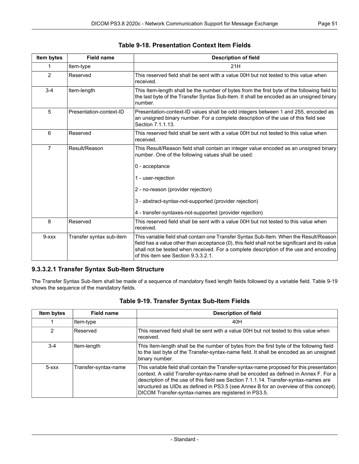<span id="page-50-0"></span>

| Item bytes     | <b>Field name</b>        | <b>Description of field</b>                                                                                                                                                                                                                                                                                                                     |
|----------------|--------------------------|-------------------------------------------------------------------------------------------------------------------------------------------------------------------------------------------------------------------------------------------------------------------------------------------------------------------------------------------------|
| 1              | Item-type                | 21H                                                                                                                                                                                                                                                                                                                                             |
| $\overline{2}$ | Reserved                 | This reserved field shall be sent with a value 00H but not tested to this value when<br>received.                                                                                                                                                                                                                                               |
| $3 - 4$        | Item-length              | This Item-length shall be the number of bytes from the first byte of the following field to<br>the last byte of the Transfer Syntax Sub-Item. It shall be encoded as an unsigned binary<br>number.                                                                                                                                              |
| 5              | Presentation-context-ID  | Presentation-context-ID values shall be odd integers between 1 and 255, encoded as<br>an unsigned binary number. For a complete description of the use of this field see<br>Section 7.1.1.13.                                                                                                                                                   |
| 6              | Reserved                 | This reserved field shall be sent with a value 00H but not tested to this value when<br>received.                                                                                                                                                                                                                                               |
| 7              | Result/Reason            | This Result/Reason field shall contain an integer value encoded as an unsigned binary<br>number. One of the following values shall be used:<br>0 - acceptance<br>1 - user-rejection<br>2 - no-reason (provider rejection)<br>3 - abstract-syntax-not-supported (provider rejection)<br>4 - transfer-syntaxes-not-supported (provider rejection) |
| 8              | Reserved                 | This reserved field shall be sent with a value 00H but not tested to this value when<br>received.                                                                                                                                                                                                                                               |
| $9 - x x x$    | Transfer syntax sub-item | This variable field shall contain one Transfer Syntax Sub-Item. When the Result/Reason<br>field has a value other than acceptance (0), this field shall not be significant and its value<br>shall not be tested when received. For a complete description of the use and encoding<br>of this item see Section 9.3.3.2.1.                        |

### **Table 9-18. Presentation Context Item Fields**

## <span id="page-50-2"></span><span id="page-50-1"></span>**9.3.3.2.1 Transfer Syntax Sub-Item Structure**

The Transfer Syntax Sub-Item shall be made of a sequence of mandatory fixed length fields followed by a variable field. [Table](#page-50-2) 9-19 shows the sequence of the mandatory fields.

| Item bytes | <b>Field name</b>    | <b>Description of field</b>                                                                                                                                                                                                                                                                                                                                                                                               |
|------------|----------------------|---------------------------------------------------------------------------------------------------------------------------------------------------------------------------------------------------------------------------------------------------------------------------------------------------------------------------------------------------------------------------------------------------------------------------|
|            | Item-type            | 40H                                                                                                                                                                                                                                                                                                                                                                                                                       |
| 2          | Reserved             | This reserved field shall be sent with a value 00H but not tested to this value when<br>received.                                                                                                                                                                                                                                                                                                                         |
| $3 - 4$    | Item-length          | This Item-length shall be the number of bytes from the first byte of the following field<br>to the last byte of the Transfer-syntax-name field. It shall be encoded as an unsigned<br>binary number.                                                                                                                                                                                                                      |
| $5 - XXX$  | Transfer-syntax-name | This variable field shall contain the Transfer-syntax-name proposed for this presentation<br>context. A valid Transfer-syntax-name shall be encoded as defined in Annex F. For a<br>description of the use of this field see Section 7.1.1.14. Transfer-syntax-names are<br>structured as UIDs as defined in PS3.5 (see Annex B for an overview of this concept).<br>DICOM Transfer-syntax-names are registered in PS3.5. |

## **Table 9-19. Transfer Syntax Sub-Item Fields**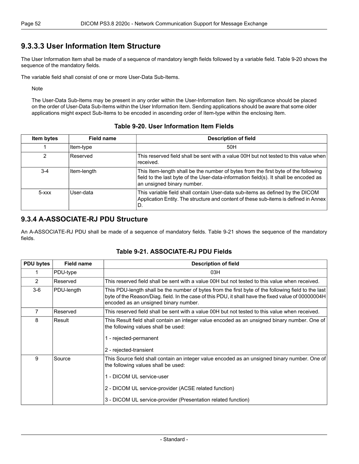# **9.3.3.3 User Information Item Structure**

The User Information Item shall be made of a sequence of mandatory length fields followed by a variable field. [Table](#page-51-0) 9-20 shows the sequence of the mandatory fields.

The variable field shall consist of one or more User-Data Sub-Items.

**Note** 

<span id="page-51-0"></span>The User-Data Sub-Items may be present in any order within the User-Information Item. No significance should be placed on the order of User-Data Sub-Items within the User Information Item. Sending applications should be aware that some older applications might expect Sub-Items to be encoded in ascending order of Item-type within the enclosing Item.

#### **Table 9-20. User Information Item Fields**

| Item bytes      | <b>Field name</b> | <b>Description of field</b>                                                                                                                                                                              |
|-----------------|-------------------|----------------------------------------------------------------------------------------------------------------------------------------------------------------------------------------------------------|
|                 | Item-type         | 50H                                                                                                                                                                                                      |
| າ               | Reserved          | This reserved field shall be sent with a value 00H but not tested to this value when<br>received.                                                                                                        |
| $3-4$           | Item-length       | This Item-length shall be the number of bytes from the first byte of the following<br>field to the last byte of the User-data-information field(s). It shall be encoded as<br>an unsigned binary number. |
| $5 - x$ $x$ $x$ | User-data         | This variable field shall contain User-data sub-items as defined by the DICOM<br>Application Entity. The structure and content of these sub-items is defined in Annex<br>ID.                             |

## **9.3.4 A-ASSOCIATE-RJ PDU Structure**

<span id="page-51-1"></span>An A-ASSOCIATE-RJ PDU shall be made of a sequence of mandatory fields. [Table](#page-51-1) 9-21 shows the sequence of the mandatory fields.

| <b>PDU bytes</b> | <b>Field name</b> | <b>Description of field</b>                                                                                                                                                                                                                                                                 |
|------------------|-------------------|---------------------------------------------------------------------------------------------------------------------------------------------------------------------------------------------------------------------------------------------------------------------------------------------|
|                  | PDU-type          | 03H                                                                                                                                                                                                                                                                                         |
| 2                | Reserved          | This reserved field shall be sent with a value 00H but not tested to this value when received.                                                                                                                                                                                              |
| $3-6$            | PDU-length        | This PDU-length shall be the number of bytes from the first byte of the following field to the last<br>byte of the Reason/Diag. field. In the case of this PDU, it shall have the fixed value of 00000004H<br>encoded as an unsigned binary number.                                         |
| $\overline{7}$   | Reserved          | This reserved field shall be sent with a value 00H but not tested to this value when received.                                                                                                                                                                                              |
| 8                | Result            | This Result field shall contain an integer value encoded as an unsigned binary number. One of<br>the following values shall be used:<br>1 - rejected-permanent<br>2 - rejected-transient                                                                                                    |
| 9                | Source            | This Source field shall contain an integer value encoded as an unsigned binary number. One of<br>the following values shall be used:<br>1 - DICOM UL service-user<br>2 - DICOM UL service-provider (ACSE related function)<br>3 - DICOM UL service-provider (Presentation related function) |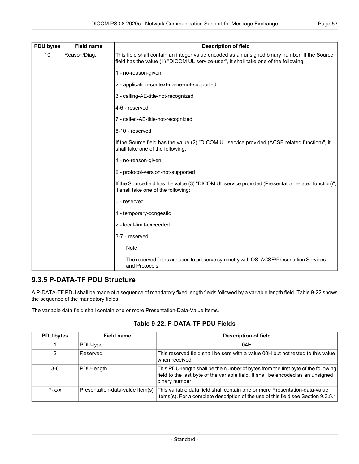| <b>PDU bytes</b> | <b>Field name</b> | <b>Description of field</b>                                                                                                                                                           |  |
|------------------|-------------------|---------------------------------------------------------------------------------------------------------------------------------------------------------------------------------------|--|
| 10               | Reason/Diag.      | This field shall contain an integer value encoded as an unsigned binary number. If the Source<br>field has the value (1) "DICOM UL service-user", it shall take one of the following: |  |
|                  |                   | 1 - no-reason-given                                                                                                                                                                   |  |
|                  |                   | 2 - application-context-name-not-supported                                                                                                                                            |  |
|                  |                   | 3 - calling-AE-title-not-recognized                                                                                                                                                   |  |
|                  |                   | 4-6 - reserved                                                                                                                                                                        |  |
|                  |                   | 7 - called-AE-title-not-recognized                                                                                                                                                    |  |
|                  |                   | 8-10 - reserved                                                                                                                                                                       |  |
|                  |                   | If the Source field has the value (2) "DICOM UL service provided (ACSE related function)", it<br>shall take one of the following:                                                     |  |
|                  |                   | 1 - no-reason-given                                                                                                                                                                   |  |
|                  |                   | 2 - protocol-version-not-supported                                                                                                                                                    |  |
|                  |                   | If the Source field has the value (3) "DICOM UL service provided (Presentation related function)",<br>it shall take one of the following:                                             |  |
|                  |                   | $0$ - reserved                                                                                                                                                                        |  |
|                  |                   | 1 - temporary-congestio                                                                                                                                                               |  |
|                  |                   | 2 - local-limit-exceeded                                                                                                                                                              |  |
|                  |                   | 3-7 - reserved                                                                                                                                                                        |  |
|                  |                   | Note                                                                                                                                                                                  |  |
|                  |                   | The reserved fields are used to preserve symmetry with OSI ACSE/Presentation Services<br>and Protocols.                                                                               |  |

## **9.3.5 P-DATA-TF PDU Structure**

<span id="page-52-0"></span>A P-DATA-TF PDU shall be made of a sequence of mandatory fixed length fields followed by a variable length field. [Table](#page-52-0) 9-22 shows the sequence of the mandatory fields.

The variable data field shall contain one or more Presentation-Data-Value Items.

#### **Table 9-22. P-DATA-TF PDU Fields**

| <b>PDU bytes</b> | <b>Field name</b> | <b>Description of field</b>                                                                                                                                                                       |
|------------------|-------------------|---------------------------------------------------------------------------------------------------------------------------------------------------------------------------------------------------|
|                  | PDU-type          | 04H                                                                                                                                                                                               |
|                  | Reserved          | This reserved field shall be sent with a value 00H but not tested to this value<br>when received.                                                                                                 |
| $3-6$            | PDU-length        | This PDU-length shall be the number of bytes from the first byte of the following<br>field to the last byte of the variable field. It shall be encoded as an unsigned<br>binary number.           |
| 7-xxx            |                   | Presentation-data-value Item(s)   This variable data field shall contain one or more Presentation-data-value<br>Items(s). For a complete description of the use of this field see Section 9.3.5.1 |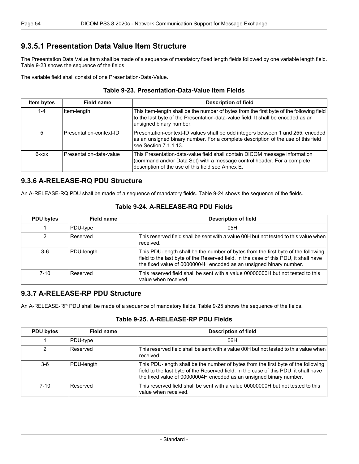# <span id="page-53-0"></span>**9.3.5.1 Presentation Data Value Item Structure**

The Presentation Data Value Item shall be made of a sequence of mandatory fixed length fields followed by one variable length field. [Table](#page-53-1) 9-23 shows the sequence of the fields.

<span id="page-53-1"></span>The variable field shall consist of one Presentation-Data-Value.

| Item bytes | Field name              | <b>Description of field</b>                                                                                                                                                                                |
|------------|-------------------------|------------------------------------------------------------------------------------------------------------------------------------------------------------------------------------------------------------|
| $1 - 4$    | Item-length             | This Item-length shall be the number of bytes from the first byte of the following field<br>to the last byte of the Presentation-data-value field. It shall be encoded as an<br>unsigned binary number.    |
| 5          | Presentation-context-ID | Presentation-context-ID values shall be odd integers between 1 and 255, encoded<br>as an unsigned binary number. For a complete description of the use of this field<br>see Section 7.1.1.13.              |
| $6 - xxx$  | Presentation-data-value | This Presentation-data-value field shall contain DICOM message information<br>(command and/or Data Set) with a message control header. For a complete<br>description of the use of this field see Annex E. |

### <span id="page-53-2"></span>**9.3.6 A-RELEASE-RQ PDU Structure**

An A-RELEASE-RQ PDU shall be made of a sequence of mandatory fields. [Table](#page-53-2) 9-24 shows the sequence of the fields.

| <b>PDU bytes</b> | Field name | <b>Description of field</b>                                                                                                                                                                                                                     |
|------------------|------------|-------------------------------------------------------------------------------------------------------------------------------------------------------------------------------------------------------------------------------------------------|
|                  | PDU-type   | 05H                                                                                                                                                                                                                                             |
| 2                | Reserved   | This reserved field shall be sent with a value 00H but not tested to this value when<br>received.                                                                                                                                               |
| 3-6              | PDU-length | This PDU-length shall be the number of bytes from the first byte of the following<br>field to the last byte of the Reserved field. In the case of this PDU, it shall have<br>the fixed value of 00000004H encoded as an unsigned binary number. |
| $7-10$           | Reserved   | This reserved field shall be sent with a value 00000000H but not tested to this<br>value when received.                                                                                                                                         |

#### **Table 9-24. A-RELEASE-RQ PDU Fields**

## <span id="page-53-3"></span>**9.3.7 A-RELEASE-RP PDU Structure**

An A-RELEASE-RP PDU shall be made of a sequence of mandatory fields. [Table](#page-53-3) 9-25 shows the sequence of the fields.

#### **Table 9-25. A-RELEASE-RP PDU Fields**

| <b>PDU bytes</b> | Field name | <b>Description of field</b>                                                                                                                                                                                                                     |
|------------------|------------|-------------------------------------------------------------------------------------------------------------------------------------------------------------------------------------------------------------------------------------------------|
|                  | PDU-type   | 06H                                                                                                                                                                                                                                             |
| 2                | Reserved   | This reserved field shall be sent with a value 00H but not tested to this value when<br>received.                                                                                                                                               |
| 3-6              | PDU-length | This PDU-length shall be the number of bytes from the first byte of the following<br>field to the last byte of the Reserved field. In the case of this PDU, it shall have<br>the fixed value of 00000004H encoded as an unsigned binary number. |
| $7-10$           | Reserved   | This reserved field shall be sent with a value 00000000H but not tested to this<br>value when received.                                                                                                                                         |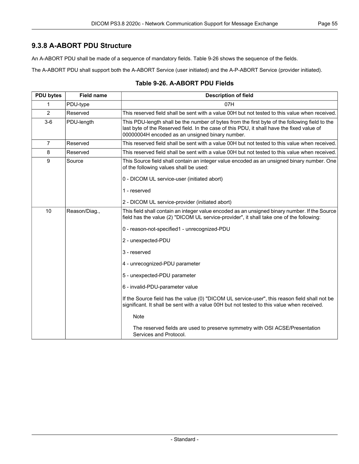## **9.3.8 A-ABORT PDU Structure**

An A-ABORT PDU shall be made of a sequence of mandatory fields. [Table](#page-54-0) 9-26 shows the sequence of the fields.

<span id="page-54-0"></span>The A-ABORT PDU shall support both the A-ABORT Service (user initiated) and the A-P-ABORT Service (provider initiated).

| <b>PDU bytes</b> | <b>Field name</b> | <b>Description of field</b>                                                                                                                                                                                                                     |  |
|------------------|-------------------|-------------------------------------------------------------------------------------------------------------------------------------------------------------------------------------------------------------------------------------------------|--|
| 1                | PDU-type          | 07H                                                                                                                                                                                                                                             |  |
| $\overline{2}$   | Reserved          | This reserved field shall be sent with a value 00H but not tested to this value when received.                                                                                                                                                  |  |
| $3-6$            | PDU-length        | This PDU-length shall be the number of bytes from the first byte of the following field to the<br>last byte of the Reserved field. In the case of this PDU, it shall have the fixed value of<br>00000004H encoded as an unsigned binary number. |  |
| $\overline{7}$   | Reserved          | This reserved field shall be sent with a value 00H but not tested to this value when received.                                                                                                                                                  |  |
| 8                | Reserved          | This reserved field shall be sent with a value 00H but not tested to this value when received.                                                                                                                                                  |  |
| 9                | Source            | This Source field shall contain an integer value encoded as an unsigned binary number. One<br>of the following values shall be used:                                                                                                            |  |
|                  |                   | 0 - DICOM UL service-user (initiated abort)                                                                                                                                                                                                     |  |
|                  |                   | 1 - reserved                                                                                                                                                                                                                                    |  |
|                  |                   | 2 - DICOM UL service-provider (initiated abort)                                                                                                                                                                                                 |  |
| 10               | Reason/Diag.,     | This field shall contain an integer value encoded as an unsigned binary number. If the Source<br>field has the value (2) "DICOM UL service-provider", it shall take one of the following:                                                       |  |
|                  |                   | 0 - reason-not-specified1 - unrecognized-PDU                                                                                                                                                                                                    |  |
|                  |                   | 2 - unexpected-PDU                                                                                                                                                                                                                              |  |
|                  |                   | 3 - reserved                                                                                                                                                                                                                                    |  |
|                  |                   | 4 - unrecognized-PDU parameter                                                                                                                                                                                                                  |  |
|                  |                   | 5 - unexpected-PDU parameter                                                                                                                                                                                                                    |  |
|                  |                   | 6 - invalid-PDU-parameter value                                                                                                                                                                                                                 |  |
|                  |                   | If the Source field has the value (0) "DICOM UL service-user", this reason field shall not be<br>significant. It shall be sent with a value 00H but not tested to this value when received.                                                     |  |
|                  |                   | Note                                                                                                                                                                                                                                            |  |
|                  |                   | The reserved fields are used to preserve symmetry with OSI ACSE/Presentation<br>Services and Protocol.                                                                                                                                          |  |

#### **Table 9-26. A-ABORT PDU Fields**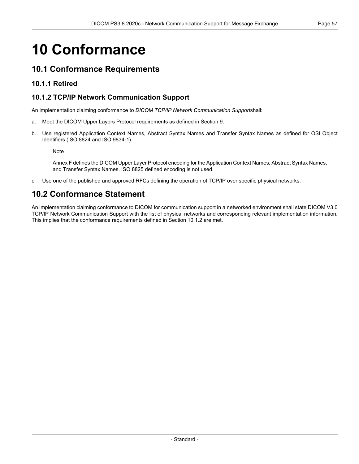# **10 Conformance**

# **10.1 Conformance Requirements**

# <span id="page-56-0"></span>**10.1.1 Retired**

# **10.1.2 TCP/IP Network Communication Support**

An implementation claiming conformance to *DICOM TCP/IP Network Communication Support*shall:

- a. Meet the DICOM Upper Layers Protocol requirements as defined in Section 9.
- b. Use registered Application Context Names, Abstract Syntax Names and Transfer Syntax Names as defined for OSI Object Identifiers (ISO 8824 and ISO 9834-1).

Note

[Annex](#page-68-0) F defines the DICOM Upper Layer Protocol encoding for the Application Context Names, Abstract Syntax Names, and Transfer Syntax Names. ISO 8825 defined encoding is not used.

c. Use one of the published and approved RFCs defining the operation of TCP/IP over specific physical networks.

# **10.2 Conformance Statement**

An implementation claiming conformance to DICOM for communication support in a networked environment shall state DICOM V3.0 TCP/IP Network Communication Support with the list of physical networks and corresponding relevant implementation information. This implies that the conformance requirements defined in [Section](#page-56-0) 10.1.2 are met.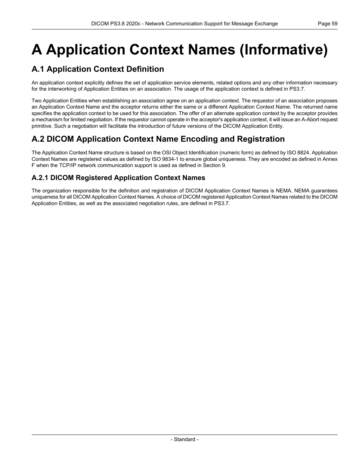# <span id="page-58-0"></span>**A Application Context Names (Informative)**

# **A.1 Application Context Definition**

An application context explicitly defines the set of application service elements, related options and any other information necessary for the interworking of Application Entities on an association. The usage of the application context is defined in [PS3.7](part07.pdf#PS3.7).

Two Application Entities when establishing an association agree on an application context. The requestor of an association proposes an Application Context Name and the acceptor returns either the same or a different Application Context Name. The returned name specifies the application context to be used for this association. The offer of an alternate application context by the acceptor provides a mechanism for limited negotiation. If the requestor cannot operate in the acceptor's application context, it will issue an A-Abort request primitive. Such a negotiation will facilitate the introduction of future versions of the DICOM Application Entity.

# **A.2 DICOM Application Context Name Encoding and Registration**

The Application Context Name structure is based on the OSI Object Identification (numeric form) as defined by ISO 8824. Application Context Names are registered values as defined by ISO 9834-1 to ensure global uniqueness. They are encoded as defined in [Annex](#page-68-0) [F](#page-68-0) when the TCP/IP network communication support is used as defined in Section 9.

# **A.2.1 DICOM Registered Application Context Names**

The organization responsible for the definition and registration of DICOM Application Context Names is NEMA. NEMA guarantees uniqueness for all DICOM Application Context Names. A choice of DICOM registered Application Context Names related to the DICOM Application Entities, as well as the associated negotiation rules, are defined in [PS3.7.](part07.pdf#PS3.7)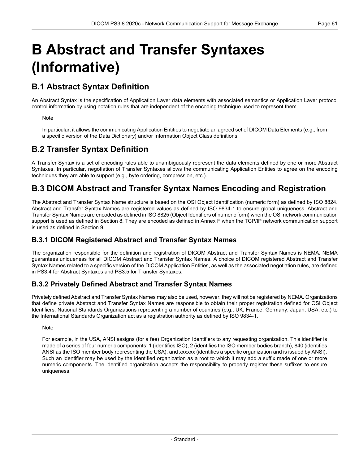# <span id="page-60-0"></span>**B Abstract and Transfer Syntaxes (Informative)**

# **B.1 Abstract Syntax Definition**

An Abstract Syntax is the specification of Application Layer data elements with associated semantics or Application Layer protocol control information by using notation rules that are independent of the encoding technique used to represent them.

**Note** 

In particular, it allows the communicating Application Entities to negotiate an agreed set of DICOM Data Elements (e.g., from a specific version of the Data Dictionary) and/or Information Object Class definitions.

# **B.2 Transfer Syntax Definition**

A Transfer Syntax is a set of encoding rules able to unambiguously represent the data elements defined by one or more Abstract Syntaxes. In particular, negotiation of Transfer Syntaxes allows the communicating Application Entities to agree on the encoding techniques they are able to support (e.g., byte ordering, compression, etc.).

# **B.3 DICOM Abstract and Transfer Syntax Names Encoding and Registration**

The Abstract and Transfer Syntax Name structure is based on the OSI Object Identification (numeric form) as defined by ISO 8824. Abstract and Transfer Syntax Names are registered values as defined by ISO 9834-1 to ensure global uniqueness. Abstract and Transfer Syntax Names are encoded as defined in ISO 8825 (Object Identifiers of numeric form) when the OSI network communication support is used as defined in Section 8. They are encoded as defined in [Annex](#page-68-0) F when the TCP/IP network communication support is used as defined in Section 9.

## **B.3.1 DICOM Registered Abstract and Transfer Syntax Names**

The organization responsible for the definition and registration of DICOM Abstract and Transfer Syntax Names is NEMA. NEMA guarantees uniqueness for all DICOM Abstract and Transfer Syntax Names. A choice of DICOM registered Abstract and Transfer Syntax Names related to a specific version of the DICOM Application Entities, as well as the associated negotiation rules, are defined in [PS3.4](part04.pdf#PS3.4) for Abstract Syntaxes and [PS3.5](part05.pdf#PS3.5) for Transfer Syntaxes.

## **B.3.2 Privately Defined Abstract and Transfer Syntax Names**

Privately defined Abstract and Transfer Syntax Names may also be used, however, they will not be registered by NEMA. Organizations that define private Abstract and Transfer Syntax Names are responsible to obtain their proper registration defined for OSI Object Identifiers. National Standards Organizations representing a number of countries (e.g., UK, France, Germany, Japan, USA, etc.) to the International Standards Organization act as a registration authority as defined by ISO 9834-1.

**Note** 

For example, in the USA, ANSI assigns (for a fee) Organization Identifiers to any requesting organization. This identifier is made of a series of four numeric components; 1 (identifies ISO), 2 (identifies the ISO member bodies branch), 840 (identifies ANSI as the ISO member body representing the USA), and xxxxxx (identifies a specific organization and is issued by ANSI). Such an identifier may be used by the identified organization as a root to which it may add a suffix made of one or more numeric components. The identified organization accepts the responsibility to properly register these suffixes to ensure uniqueness.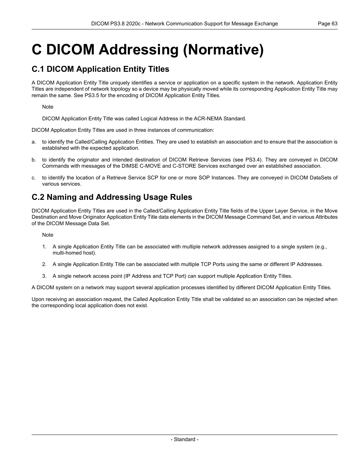# **C DICOM Addressing (Normative)**

# **C.1 DICOM Application Entity Titles**

A DICOM Application Entity Title uniquely identifies a service or application on a specific system in the network. Application Entity Titles are independent of network topology so a device may be physically moved while its corresponding Application Entity Title may remain the same. See [PS3.5](part05.pdf#PS3.5) for the encoding of DICOM Application Entity Titles.

Note

DICOM Application Entity Title was called Logical Address in the ACR-NEMA Standard.

DICOM Application Entity Titles are used in three instances of communication:

- a. to identify the Called/Calling Application Entities. They are used to establish an association and to ensure that the association is established with the expected application.
- b. to identify the originator and intended destination of DICOM Retrieve Services (see [PS3.4](part04.pdf#PS3.4)). They are conveyed in DICOM Commands with messages of the DIMSE C-MOVE and C-STORE Services exchanged over an established association.
- c. to identify the location of a Retrieve Service SCP for one or more SOP Instances. They are conveyed in DICOM DataSets of various services.

# **C.2 Naming and Addressing Usage Rules**

DICOM Application Entity Titles are used in the Called/Calling Application Entity Title fields of the Upper Layer Service, in the Move Destination and Move Originator Application Entity Title data elements in the DICOM Message Command Set, and in various Attributes of the DICOM Message Data Set.

Note

- 1. A single Application Entity Title can be associated with multiple network addresses assigned to a single system (e.g., multi-homed host).
- 2. A single Application Entity Title can be associated with multiple TCP Ports using the same or different IP Addresses.
- 3. A single network access point (IP Address and TCP Port) can support multiple Application Entity Titles.

A DICOM system on a network may support several application processes identified by different DICOM Application Entity Titles.

Upon receiving an association request, the Called Application Entity Title shall be validated so an association can be rejected when the corresponding local application does not exist.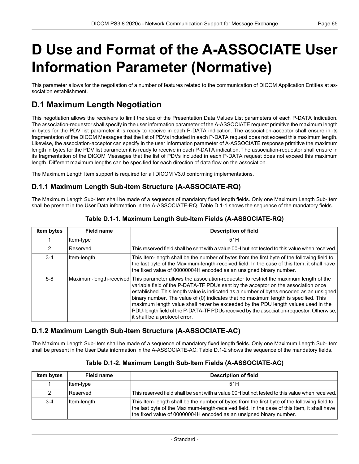# <span id="page-64-0"></span>**D Use and Format of the A-ASSOCIATE User Information Parameter (Normative)**

This parameter allows for the negotiation of a number of features related to the communication of DICOM Application Entities at as sociation establishment.

# **D.1 Maximum Length Negotiation**

This negotiation allows the receivers to limit the size of the Presentation Data Values List parameters of each P-DATA Indication. The association-requestor shall specify in the user information parameter of the A-ASSOCIATE request primitive the maximum length in bytes for the PDV list parameter it is ready to receive in each P-DATA indication. The association-acceptor shall ensure in its fragmentation of the DICOM Messages that the list of PDVs included in each P-DATA request does not exceed this maximum length. Likewise, the association-acceptor can specify in the user information parameter of A-ASSOCIATE response primitive the maximum length in bytes for the PDV list parameter it is ready to receive in each P-DATA indication. The association-requestor shall ensure in its fragmentation of the DICOM Messages that the list of PDVs included in each P-DATA request does not exceed this maximum length. Different maximum lengths can be specified for each direction of data flow on the association.

The Maximum Length Item support is required for all DICOM V3.0 conforming implementations.

## **D.1.1 Maximum Length Sub-Item Structure (A-ASSOCIATE-RQ)**

<span id="page-64-1"></span>The Maximum Length Sub-Item shall be made of a sequence of mandatory fixed length fields. Only one Maximum Length Sub-Item shall be present in the User Data information in the A-ASSOCIATE-RQ. [Table](#page-64-1) D.1-1 shows the sequence of the mandatory fields.

| Item bytes | <b>Field name</b> | <b>Description of field</b>                                                                                                                                                                                                                                                                                                                                                                                                                                                                                                                                                                            |
|------------|-------------------|--------------------------------------------------------------------------------------------------------------------------------------------------------------------------------------------------------------------------------------------------------------------------------------------------------------------------------------------------------------------------------------------------------------------------------------------------------------------------------------------------------------------------------------------------------------------------------------------------------|
|            | Item-type         | 51H                                                                                                                                                                                                                                                                                                                                                                                                                                                                                                                                                                                                    |
| 2          | Reserved          | This reserved field shall be sent with a value 00H but not tested to this value when received.                                                                                                                                                                                                                                                                                                                                                                                                                                                                                                         |
| $3 - 4$    | Item-length       | This Item-length shall be the number of bytes from the first byte of the following field to<br>the last byte of the Maximum-length-received field. In the case of this Item, it shall have<br>the fixed value of 00000004H encoded as an unsigned binary number.                                                                                                                                                                                                                                                                                                                                       |
| $5 - 8$    |                   | Maximum-length-received This parameter allows the association-requestor to restrict the maximum length of the<br>variable field of the P-DATA-TF PDUs sent by the acceptor on the association once<br>established. This length value is indicated as a number of bytes encoded as an unsigned<br>binary number. The value of (0) indicates that no maximum length is specified. This<br>maximum length value shall never be exceeded by the PDU length values used in the<br>PDU-length field of the P-DATA-TF PDUs received by the association-requestor. Otherwise,<br>it shall be a protocol error. |

### **Table D.1-1. Maximum Length Sub-Item Fields (A-ASSOCIATE-RQ)**

## <span id="page-64-2"></span>**D.1.2 Maximum Length Sub-Item Structure (A-ASSOCIATE-AC)**

The Maximum Length Sub-Item shall be made of a sequence of mandatory fixed length fields. Only one Maximum Length Sub-Item shall be present in the User Data information in the A-ASSOCIATE-AC. [Table](#page-64-2) D.1-2 shows the sequence of the mandatory fields.

| <b>Item bytes</b> | Field name  | <b>Description of field</b>                                                                                                                                                                                                                                      |
|-------------------|-------------|------------------------------------------------------------------------------------------------------------------------------------------------------------------------------------------------------------------------------------------------------------------|
|                   | ltem-type   | 51H                                                                                                                                                                                                                                                              |
| 2                 | l Reserved  | This reserved field shall be sent with a value 00H but not tested to this value when received.                                                                                                                                                                   |
| $3 - 4$           | Item-length | This Item-length shall be the number of bytes from the first byte of the following field to<br>the last byte of the Maximum-length-received field. In the case of this Item, it shall have<br>the fixed value of 00000004H encoded as an unsigned binary number. |

#### **Table D.1-2. Maximum Length Sub-Item Fields (A-ASSOCIATE-AC)**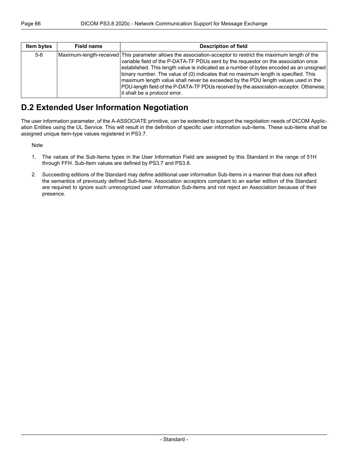| <b>Item bytes</b> | Field name | <b>Description of field</b>                                                                                                                                                                                                                                                                                                                                                                                                                                                                                                                                                                               |
|-------------------|------------|-----------------------------------------------------------------------------------------------------------------------------------------------------------------------------------------------------------------------------------------------------------------------------------------------------------------------------------------------------------------------------------------------------------------------------------------------------------------------------------------------------------------------------------------------------------------------------------------------------------|
| $5 - 8$           |            | Maximum-length-received This parameter allows the association-acceptor to restrict the maximum length of the<br>variable field of the P-DATA-TF PDUs sent by the requestor on the association once<br>$ $ established. This length value is indicated as a number of bytes encoded as an unsigned<br>binary number. The value of (0) indicates that no maximum length is specified. This<br>maximum length value shall never be exceeded by the PDU length values used in the<br>PDU-length field of the P-DATA-TF PDUs received by the association-acceptor. Otherwise,<br>it shall be a protocol error. |

# **D.2 Extended User Information Negotiation**

The user information parameter, of the A-ASSOCIATE primitive, can be extended to support the negotiation needs of DICOM Applic ation Entities using the UL Service. This will result in the definition of specific user information sub-items. These sub-items shall be assigned unique item-type values registered in [PS3.7](part07.pdf#PS3.7).

Note

- 1. The values of the Sub-Items types in the User Information Field are assigned by this Standard in the range of 51H through FFH. Sub-Item values are defined by [PS3.7](part07.pdf#PS3.7) and [PS3.8](#page-0-0).
- 2. Succeeding editions of the Standard may define additional user information Sub-Items in a manner that does not affect the semantics of previously defined Sub-Items. Association acceptors compliant to an earlier edition of the Standard are required to ignore such unrecognized user information Sub-Items and not reject an Association because of their presence.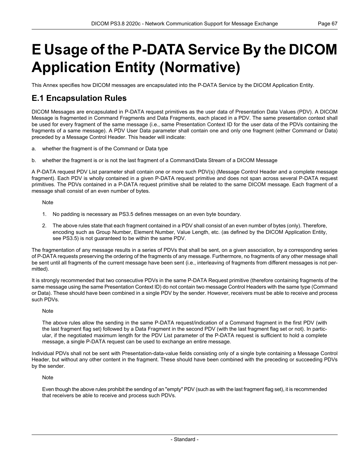# <span id="page-66-0"></span>**E Usage of the P-DATA Service By the DICOM Application Entity (Normative)**

This Annex specifies how DICOM messages are encapsulated into the P-DATA Service by the DICOM Application Entity.

# **E.1 Encapsulation Rules**

DICOM Messages are encapsulated in P-DATA request primitives as the user data of Presentation Data Values (PDV). A DICOM Message is fragmented in Command Fragments and Data Fragments, each placed in a PDV. The same presentation context shall be used for every fragment of the same message (i.e., same Presentation Context ID for the user data of the PDVs containing the fragments of a same message). A PDV User Data parameter shall contain one and only one fragment (either Command or Data) preceded by a Message Control Header. This header will indicate:

- a. whether the fragment is of the Command or Data type
- b. whether the fragment is or is not the last fragment of a Command/Data Stream of a DICOM Message

A P-DATA request PDV List parameter shall contain one or more such PDV(s) (Message Control Header and a complete message fragment). Each PDV is wholly contained in a given P-DATA request primitive and does not span across several P-DATA request primitives. The PDVs contained in a P-DATA request primitive shall be related to the same DICOM message. Each fragment of a message shall consist of an even number of bytes.

**Note** 

- 1. No padding is necessary as [PS3.5](part05.pdf#PS3.5) defines messages on an even byte boundary.
- 2. The above rules state that each fragment contained in a PDV shall consist of an even number of bytes (only). Therefore, encoding such as Group Number, Element Number, Value Length, etc. (as defined by the DICOM Application Entity, see [PS3.5](part05.pdf#PS3.5)) is not guaranteed to be within the same PDV.

The fragmentation of any message results in a series of PDVs that shall be sent, on a given association, by a corresponding series of P-DATA requests preserving the ordering of the fragments of any message. Furthermore, no fragments of any other message shall be sent until all fragments of the current message have been sent (i.e., interleaving of fragments from different messages is not per mitted).

It is strongly recommended that two consecutive PDVs in the same P-DATA Request primitive (therefore containing fragments of the same message using the same Presentation Context ID) do not contain two message Control Headers with the same type (Command or Data). These should have been combined in a single PDV by the sender. However, receivers must be able to receive and process such PDVs.

#### **Note**

The above rules allow the sending in the same P-DATA request/indication of a Command fragment in the first PDV (with the last fragment flag set) followed by a Data Fragment in the second PDV (with the last fragment flag set or not). In partic ular, if the negotiated maximum length for the PDV List parameter of the P-DATA request is sufficient to hold a complete message, a single P-DATA request can be used to exchange an entire message.

Individual PDVs shall not be sent with Presentation-data-value fields consisting only of a single byte containing a Message Control Header, but without any other content in the fragment. These should have been combined with the preceding or succeeding PDVs by the sender.

Note

Even though the above rules prohibit the sending of an "empty" PDV (such as with the last fragment flag set), it is recommended that receivers be able to receive and process such PDVs.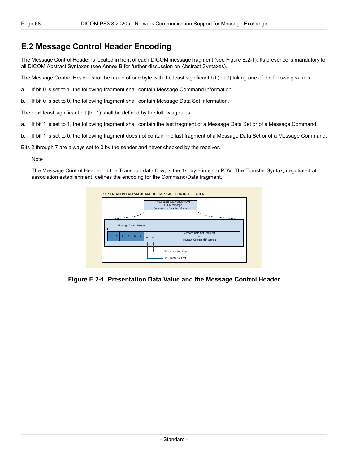# **E.2 Message Control Header Encoding**

The Message Control Header is located in front of each DICOM message fragment (see [Figure](#page-67-0) E.2-1). Its presence is mandatory for all DICOM Abstract Syntaxes (see [Annex](#page-60-0) B for further discussion on Abstract Syntaxes).

The Message Control Header shall be made of one byte with the least significant bit (bit 0) taking one of the following values:

- a. If bit 0 is set to 1, the following fragment shall contain Message Command information.
- b. If bit 0 is set to 0, the following fragment shall contain Message Data Set information.

The next least significant bit (bit 1) shall be defined by the following rules:

- a. If bit 1 is set to 1, the following fragment shall contain the last fragment of a Message Data Set or of a Message Command.
- b. If bit 1 is set to 0, the following fragment does not contain the last fragment of a Message Data Set or of a Message Command.

Bits 2 through 7 are always set to 0 by the sender and never checked by the receiver.

#### Note

<span id="page-67-0"></span>The Message Control Header, in the Transport data flow, is the 1st byte in each PDV. The Transfer Syntax, negotiated at association establishment, defines the encoding for the Command/Data fragment.



**Figure E.2-1. Presentation Data Value and the Message Control Header**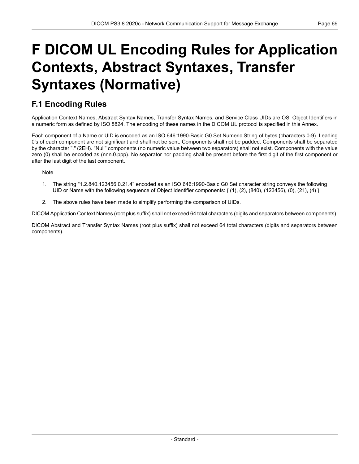# <span id="page-68-0"></span>**F DICOM UL Encoding Rules for Application Contexts, Abstract Syntaxes, Transfer Syntaxes (Normative)**

# **F.1 Encoding Rules**

Application Context Names, Abstract Syntax Names, Transfer Syntax Names, and Service Class UIDs are OSI Object Identifiers in a numeric form as defined by ISO 8824. The encoding of these names in the DICOM UL protocol is specified in this Annex.

Each component of a Name or UID is encoded as an ISO 646:1990-Basic G0 Set Numeric String of bytes (characters 0-9). Leading 0's of each component are not significant and shall not be sent. Components shall not be padded. Components shall be separated by the character "." (2EH). "Null" components (no numeric value between two separators) shall not exist. Components with the value zero (0) shall be encoded as (nnn.0.ppp). No separator nor padding shall be present before the first digit of the first component or after the last digit of the last component.

**Note** 

- 1. The string "1.2.840.123456.0.21.4" encoded as an ISO 646:1990-Basic G0 Set character string conveys the following UID or Name with the following sequence of Object Identifier components: { (1), (2), (840), (123456), (0), (21), (4) }.
- 2. The above rules have been made to simplify performing the comparison of UIDs.

DICOM Application Context Names (root plus suffix) shall not exceed 64 total characters (digits and separators between components).

DICOM Abstract and Transfer Syntax Names (root plus suffix) shall not exceed 64 total characters (digits and separators between components).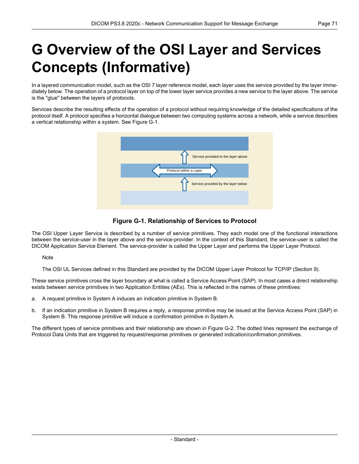# **G Overview of the OSI Layer and Services Concepts (Informative)**

In a layered communication model, such as the OSI 7 layer reference model, each layer uses the service provided by the layer imme diately below. The operation of a protocol layer on top of the lower layer service provides a new service to the layer above. The service is the "glue" between the layers of protocols.

<span id="page-70-0"></span>Services describe the resulting effects of the operation of a protocol without requiring knowledge of the detailed specifications of the protocol itself. A protocol specifies a horizontal dialogue between two computing systems across a network, while a service describes a vertical relationship within a system. See [Figure](#page-70-0) G-1.



## **Figure G-1. Relationship of Services to Protocol**

The OSI Upper Layer Service is described by a number of service primitives. They each model one of the functional interactions between the service-user in the layer above and the service-provider. In the context of this Standard, the service-user is called the DICOM Application Service Element. The service-provider is called the Upper Layer and performs the Upper Layer Protocol.

**Note** 

The OSI UL Services defined in this Standard are provided by the DICOM Upper Layer Protocol for TCP/IP (Section 9).

These service primitives cross the layer boundary at what is called a Service Access Point (SAP). In most cases a direct relationship exists between service primitives in two Application Entities (AEs). This is reflected in the names of these primitives:

- a. A request primitive in System A induces an indication primitive in System B.
- b. If an indication primitive in System B requires a reply, a response primitive may be issued at the Service Access Point (SAP) in System B. This response primitive will induce a confirmation primitive in System A.

The different types of service primitives and their relationship are shown in [Figure](#page-71-0) G-2. The dotted lines represent the exchange of Protocol Data Units that are triggered by request/response primitives or generated indication/confirmation primitives.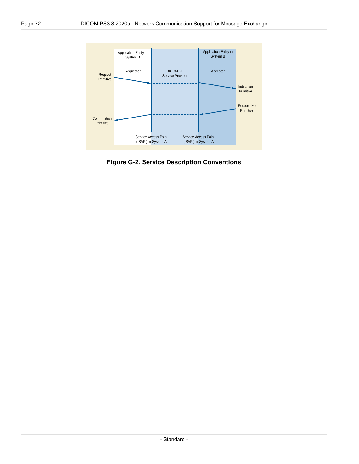<span id="page-71-0"></span>

**Figure G-2. Service Description Conventions**